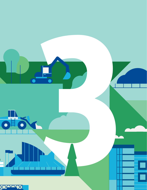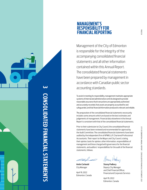

# **3 CONSOLIDATED FINANCIAL STATEMENTS ONSOLIDATED FINANCIAL STATEMEN**

## **MANAGEMENT'S RESPONSIBILITY FOR FINANCIAL REPORTING**

Management of the City of Edmonton is responsible for the integrity of the accompanying consolidated financial statements and all other information contained within this Annual Report. The consolidated financial statements have been prepared by management in accordance with Canadian public sector accounting standards.

To assist in meeting its responsibility, management maintains appropriate systems of internal and administrative controls designed to provide reasonable assurance that transactions are appropriately authorized and accurately recorded, that assets are properly accounted for and safeguarded, and that financial information produced is relevant and reliable.

The preparation of the consolidated financial statements necessarily includes some amounts which are based on the best estimates and judgements of management. Financial data elsewhere in the Annual Report is consistent with that of the consolidated financial statements.

Prior to their submission to City Council, the consolidated financial statements have been reviewed and recommended for approval by the Audit Committee. The consolidated financial statements have been audited by the independent firm of KPMG LLP, Chartered Professional Accountants. Their report to the Mayor and City Council, stating their opinion, basis for opinion, other information, responsibilities of management and those charged with governance for the financial statements, and auditors' responsibilities for the audit of the financial statements, follows.

**Andre Corbould** City Manager

April 19, 2022 Edmonton, Canada

Leur

**Stacey Padbury** Deputy City Manager and Chief Financial Officer, Financial and Corporate Services

April 19, 2022 Edmonton, Canada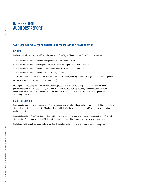## **INDEPENDENT AUDITORS' REPORT**

## **TO HIS WORSHIP THE MAYOR AND MEMBERS OF COUNCIL OF THE CITY OF EDMONTON**

## **OPINION**

We have audited the consolidated financial statements of the City of Edmonton (the "Entity"), which comprise:

- **+** the consolidated statement of financial position as at December 31, 2021
- **+** the consolidated statement of operations and accumulated surplus for the year then ended
- **+** the consolidated statement of changes in net financial assets for the year then ended
- **+** the consolidated statement of cash flows for the year then ended
- **+** and notes and schedules to the consolidated financial statements, including a summary of significant accounting policies

(Hereinafter referred to as the "financial statements").

In our opinion, the accompanying financial statements present fairly, in all material respects, the consolidated financial position of the Entity as at December 31, 2021, and its consolidated results of operations, its consolidated changes in net financial assets and its consolidated cash flows for the year then ended in accordance with Canadian public sector accounting standards.

## **BASIS FOR OPINION**

We conducted our audit in accordance with Canadian generally accepted auditing standards. Our responsibilities under those standards are further described in the "Auditors' Responsibilities for the Audit of the Financial Statements" section of our auditors' report.

We are independent of the Entity in accordance with the ethical requirements that are relevant to our audit of the financial statements in Canada and we have fulfilled our other ethical responsibilities in accordance with these requirements.

We believe that the audit evidence we have obtained is sufficient and appropriate to provide a basis for our opinion.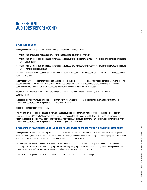# **INDEPENDENT AUDITORS' REPORT (CONT)**

## **OTHER INFORMATION**

Management is responsible for the other information. Other information comprises

- **+** the information included in Management's Financial Statement Discussion and Analysis
- **+** the information, other than the financial statements and the auditors' report thereon, included in a document likely to be entitled the "2021 Annual Report"
- **+** the information, other than the financial statements and the auditors' report thereon, included in a document likely to be entitled the "2021 Financial Report to Citizens"

Our opinion on the financial statements does not cover the other information and we do not and will not express any form of assurance conclusion thereon.

In connection with our audit of the financial statements, our responsibility is to read the other information identified above and, in doing so, consider whether the other information is materially inconsistent with the financial statements or our knowledge obtained in the audit and remain alert for indications that the other information appears to be materially misstated.

We obtained the information included in Management's Financial Statement Discussion and Analysis as at the date of this auditors' report.

If, based on the work we have performed on this other information, we conclude that there is a material misstatement of this other information, we are required to report that fact in the auditors' report.

We have nothing to report in this regard.

The information, other than the financial statements and the auditors' report thereon, included in the documents likely to be entitled "2021 Annual Report" and "2021 Financial Report to Citizens" is expected to be made available to us after the date of this auditors' report. If, based on the work we will perform on this other information, we conclude that there is a material misstatement of this other information, we are required to report that fact to those charged with governance.

## **RESPONSIBILITIES OF MANAGEMENT AND THOSE CHARGED WITH GOVERNANCE FOR THE FINANCIAL STATEMENTS**

Management is responsible for the preparation and fair presentation of the financial statements in accordance with Canadian public sector accounting standards and for such internal control as management determines is necessary to enable the preparation of financial statements that are free from material misstatement, whether due to fraud or error.

In preparing the financial statements, management is responsible for assessing the Entity's ability to continue as a going concern, disclosing as applicable, matters related to going concern and using the going concern basis of accounting unless management either intends to liquidate the Entity or to cease operations, or has no realistic alternative but to do so.

Those charged with governance are responsible for overseeing the Entity's financial reporting process.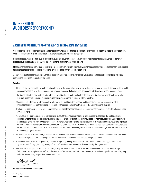# **INDEPENDENT AUDITORS' REPORT (CONT)**

## **AUDITORS' RESPONSIBILITIES FOR THE AUDIT OF THE FINANCIAL STATEMENTS**

Our objectives are to obtain reasonable assurance about whether the financial statements as a whole are free from material misstatement, whether due to fraud or error, and to issue an auditors' report that includes our opinion.

Reasonable assurance is a high level of assurance, but is not a guarantee that an audit conducted in accordance with Canadian generally accepted auditing standards will always detect a material misstatement when it exists.

Misstatements can arise from fraud or error and are considered material if, individually or in the aggregate, they could reasonably be expected to influence the economic decisions of users taken on the basis of the financial statements.

As part of an audit in accordance with Canadian generally accepted auditing standards, we exercise professional judgment and maintain professional skepticism throughout the audit.

#### **We also:**

- **+** Identify and assess the risks of material misstatement of the financial statements, whether due to fraud or error, design and perform audit procedures responsive to those risks, and obtain audit evidence that is sufficient and appropriate to provide a basis for our opinion.
- **+** The risk of not detecting a material misstatement resulting from fraud is higher than for one resulting from error, as fraud may involve collusion, forgery, intentional omissions, misrepresentations, or the override of internal control.
- **+** Obtain an understanding of internal control relevant to the audit in order to design audit procedures that are appropriate in the circumstances, but not for the purpose of expressing an opinion on the effectiveness of the Entity's internal control.
- **+** Evaluate the appropriateness of accounting policies used and the reasonableness of accounting estimates and related disclosures made by management.
- **+** Conclude on the appropriateness of management's use of the going concern basis of accounting and, based on the audit evidence obtained, whether a material uncertainty exists related to events or conditions that may cast significant doubt on the Entity's ability to continue as a going concern. If we conclude that a material uncertainty exists, we are required to draw attention in our auditors' report to the related disclosures in the financial statements or, if such disclosures are inadequate, to modify our opinion. Our conclusions are based on the audit evidence obtained up to the date of our auditors' report. However, future events or conditions may cause the Entity to cease to continue as a going concern.
- **+** Evaluate the overall presentation, structure and content of the financial statements, including the disclosures, and whether the financial statements represent the underlying transactions and events in a manner that achieves fair presentation.
- **+** Communicate with those charged with governance regarding, among other matters, the planned scope and timing of the audit and significant audit findings, including any significant deficiencies in internal control that we identify during our audit.
- **+** Obtain sufficient appropriate audit evidence regarding the financial information of the entities or business activities within the group Entity to express an opinion on the financial statements. We are responsible for the direction, supervision and performance of the group audit. We remain solely responsible for our audit opinion.

 $k$ *PMG*  $44$ 

**Chartered Professional Accountants**

April 19, 2022 Edmonton, Canada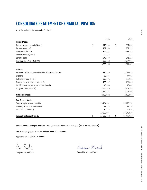# **CONSOLIDATED STATEMENT OF FINANCIAL POSITION**

As at December 31 (in thousands of dollars)

|                                                               | 2021             | 2020             |
|---------------------------------------------------------------|------------------|------------------|
| <b>Financial Assets</b>                                       |                  |                  |
| Cash and cash equivalents (Note 2)                            | \$<br>473,259    | \$<br>531,040    |
| Receivables (Note 3)                                          | 789,169          | 787,212          |
| Investments (Note 4)                                          | 2,342,782        | 1,983,242        |
| Debt recoverable (Note 5)                                     | 22,455           | 9,813            |
| Land for resale                                               | 242,683          | 241,213          |
| Investment in EPCOR (Note 19)                                 | 4,223,418        | 3,974,963        |
|                                                               | 8,093,766        | 7,527,483        |
| <b>Liabilities</b>                                            |                  |                  |
| Accounts payable and accrued liabilities (Note 6 and Note 23) | 1,150,730        | 1,061,048        |
| Deposits                                                      | 53,336           | 44,682           |
| Deferred revenue (Note 7)                                     | 378.791          | 280,152          |
| Employee benefit obligations (Note 8)                         | 195,797          | 194,061          |
| Landfill closure and post-closure care (Note 9)               | 45,560           | 40,408           |
| Long-term debt (Note 10)                                      | 3,546,570        | 3,407,145        |
|                                                               | 5,370,784        | 5,027,496        |
| <b>Net Financial Assets</b>                                   | 2,722,982        | 2,499,987        |
| <b>Non-financial Assets</b>                                   |                  |                  |
| Tangible capital assets (Note 11)                             | 13,754,952       | 13,195,576       |
| Inventory of materials and supplies                           | 33,778           | 37,320           |
| Other assets (Note 12)                                        | 50,356           | 40,040           |
|                                                               | 13,839,086       | 13,272,936       |
| <b>Accumulated Surplus (Note 15)</b>                          | \$<br>16,562,068 | \$<br>15,772,923 |

**Commitments, contingent liabilities, contingent assets and contractual rights (Notes 22, 24, 25 and 26).** 

**See accompanying notes to consolidated financial statements.**

Approved on behalf of City Council:

 $S_{o}$ shi

andrew Knack

Mayor Amarjeet Sohi Councillor Andrew Knack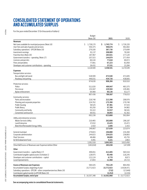# **CONSOLIDATED STATEMENT OF OPERATIONS AND ACCUMULATED SURPLUS**

For the year ended December 31 (in thousands of dollars)

|                                                                    | <b>Budget</b>    |                |                |
|--------------------------------------------------------------------|------------------|----------------|----------------|
|                                                                    | (Note 29)        | 2021           | 2020           |
| Revenues                                                           |                  |                |                |
| Net taxes available for municipal purposes (Note 16)               | \$<br>1,738,170  | 1,745,774<br>S | 1,726,220<br>S |
| User fees and sale of goods and services                           | 550,375          | 506,676        | 461,682        |
| Subsidiary operations - EPCOR (Note 19)                            | 279,100          | 387,730        | 275,699        |
| Investment earnings                                                | 91,137           | 208,089        | 78,160         |
| Franchise fees (Note 20)                                           | 187,967          | 183,021        | 177,120        |
| Government transfers - operating (Note 17)                         | 107,515          | 144,879        | 277,454        |
| Licences and permits                                               | 60,144           | 77,618         | 69,072         |
| Fines and penalties                                                | 77,661           | 67,223         | 81,858         |
| Developer and customer contributions - operating                   | 26,431           | 37,531         | 23,284         |
|                                                                    | 3,118,500        | 3,358,541      | 3,170,549      |
| <b>Expenses</b>                                                    |                  |                |                |
| Transportation services:                                           |                  |                |                |
| Bus and light rail transit                                         | 528,599          | 473,540        | 471,845        |
| Roadway and parking                                                | 446,031          | 434,726        | 438,665        |
|                                                                    | 974,630          | 908,266        | 910,510        |
| Protective services:                                               |                  |                |                |
| Police                                                             | 511,020          | 499,947        | 483,375        |
| Fire rescue                                                        | 231,947          | 229,504        | 229,481        |
| Bylaw enforcement                                                  | 64.469           | 60,136         | 63,177         |
|                                                                    | 807,436          | 789,587        | 776,033        |
| Community services:                                                |                  |                |                |
| Parks and recreation                                               | 218,748          | 213,398        | 208,976        |
| Planning and corporate properties                                  | 224,762          | 175,390        | 179,748        |
| Public housing                                                     | 58,525           | 87,481         | 47,515         |
| Public library                                                     | 65,250           | 57,769         | 54,982         |
| Community and family                                               | 55,322           | 52,937         | 58,541         |
| Convention and tourism                                             | 69,551           | 36,893         | 42,302         |
|                                                                    | 692,158          | 623,868        | 592,064        |
| Utility and enterprise services:                                   |                  |                |                |
| Waste Services Utility                                             | 210,465          | 202,808        | 206,187        |
| Land Enterprise                                                    | 37,032           | 23,425         | 15,472         |
| <b>Blatchford Renewable Energy Utility</b>                         | 2,410<br>249,907 | 1,606          | 1,415          |
|                                                                    |                  | 227,839        | 223,074        |
| General municipal                                                  | 279.815          | 246,888        | 234,268        |
| Corporate administration                                           | 244,615          | 254,025        | 238,883        |
| <b>Fleet Services</b>                                              | 48,466           | 38,809         | 45,755         |
| Ed Tel Endowment Fund                                              | 4,491            | 4,221          | 2,863          |
|                                                                    | 3,301,518        | 3,093,503      | 3,023,450      |
| (Shortfall) Excess of Revenues over Expenses before Other          | (183,018)        | 265,038        | 147,099        |
| <b>Other</b>                                                       |                  |                |                |
| Government transfers - capital (Note 17)                           | 499,651          | 413,405        | 565,516        |
| Contributed tangible capital assets (Schedule 1)                   | 128,975          | 95,448         | 118,245        |
| Developer and customer contributions - capital                     | 121,124          | 6,770          | 8,873          |
| Local improvements                                                 | 17,693           | 11,468         | 24,723         |
|                                                                    |                  |                |                |
| <b>Excess of Revenues over Expenses</b>                            | 584,425          | 792,129        | 864,456        |
| Accumulated Surplus, beginning of year                             | 15,772,923       | 15,772,923     | 14,928,471     |
| Subsidiary operations - EPCOR - other comprehensive loss (Note 19) |                  | (732)          | (17, 849)      |
| Contributed capital transfer to EPCOR (Note 19)                    |                  | (2, 252)       | (2, 155)       |
| Accumulated Surplus, end of year                                   | \$16,357,348     | \$16,562,068   | \$15,772,923   |
|                                                                    |                  |                |                |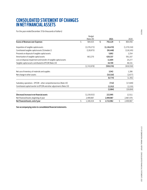# **CONSOLIDATED STATEMENT OF CHANGES IN NET FINANCIAL ASSETS**

For the year ended December 31 (in thousands of dollars)

|                                                                       |    | <b>Budget</b> |                 |    |             |
|-----------------------------------------------------------------------|----|---------------|-----------------|----|-------------|
|                                                                       |    | (Note 29)     | 2021            |    | 2020        |
| <b>Excess of Revenues over Expenses</b>                               | Ś  | 584,425       | \$<br>792,129   | Ś. | 864,456     |
| Acquisition of tangible capital assets                                |    | (2,278,273)   | (1, 136, 470)   |    | (1,379,334) |
| Contributed tangible capital assets (Schedule 1)                      |    | (128, 975)    | (95, 448)       |    | (118, 245)  |
| Proceeds on disposal of tangible capital assets                       |    |               | 5,892           |    | 2,254       |
| Amortization of tangible capital assets                               |    | 663,270       | 620,337         |    | 591,167     |
| Loss on disposal, impairment and transfer of tangible capital assets  |    |               | 11,604          |    | 25,277      |
| Tangible capital assets contributed to EPCOR (Note 19)                |    |               | 34,709          |    | 48,331      |
|                                                                       |    | (1,743,978)   | (559, 376)      |    | (830, 550)  |
| Net use of inventory of materials and supplies                        |    |               | 3,542           |    | 1,286       |
| Net change in other assets                                            |    |               | (10, 316)       |    | (2,677)     |
|                                                                       |    |               | (6, 774)        |    | (1, 391)    |
| Subsidiary operations - EPCOR - other comprehensive loss (Note 19)    |    |               | (732)           |    | (17, 849)   |
| Contributed capital transfer to EPCOR and other adjustments (Note 19) |    |               | (2, 252)        |    | (2, 155)    |
|                                                                       |    |               | (2,984)         |    | (20,004)    |
| (Decrease) increase in net financial assets                           |    | (1, 159, 553) | 222,995         |    | 12,511      |
| Net Financial Assets, beginning of year                               |    | 2,499,987     | 2,499,987       |    | 2,487,476   |
| Net Financial Assets, end of year                                     | Ś. | 1,340,434     | \$<br>2,722,982 | \$ | 2,499,987   |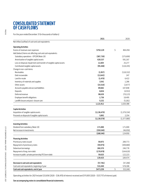# **CONSOLIDATED STATEMENT OF CASH FLOWS**

For the year ended December 31 (in thousands of dollars)

|                                                                      | 2021          | 2020          |
|----------------------------------------------------------------------|---------------|---------------|
| Net inflow (outflow) of cash and cash equivalents:                   |               |               |
| <b>Operating Activities</b>                                          |               |               |
| Excess of revenues over expenses                                     | \$792,129     | \$<br>864,456 |
| Add (deduct) items not affecting cash and cash equivalents:          |               |               |
| Subsidiary operations - EPCOR (Note 19)                              | (387, 730)    | (275, 699)    |
| Amortization of tangible capital assets                              | 620,337       | 591,167       |
| Loss on disposal, impairment and transfer of tangible capital assets | 11,604        | 25,277        |
| Contributed tangible capital assets                                  | (95, 448)     | (118, 245)    |
| Change in non-cash items:                                            |               |               |
| Receivables                                                          | (1,957)       | (118, 332)    |
| Debt recoverable                                                     | (12, 642)     | 247           |
| Land for resale                                                      | (1, 470)      | 6,422         |
| Inventory of materials and supplies                                  | 3,542         | 1,286         |
| Other assets                                                         | (10, 316)     | (2,677)       |
| Accounts payable and accrued liabilities                             | 89,682        | 107,848       |
| Deposits                                                             | 8,654         | (4, 553)      |
| Deferred revenue                                                     | 98,639        | (70, 123)     |
| Employee benefit obligations                                         | 1,736         | 18,495        |
| Landfill closure and post-closure care                               | 5,152         | (5, 181)      |
|                                                                      | 1,121,912     | 1,020,388     |
| <b>Capital Activities</b>                                            |               |               |
| Acquisition of tangible capital assets                               | (1, 136, 470) | (1, 379, 334) |
| Proceeds on disposal of tangible capital assets                      | 5,892         | 2,254         |
|                                                                      | (1, 130, 578) | (1,377,080)   |
| <b>Investing Activities</b>                                          |               |               |
| Dividend from subsidiary (Note 19)                                   | 171,000       | 171,000       |
| Net increase in investments                                          | (359, 540)    | (46,050)      |
|                                                                      | (188, 540)    | 124,950       |
| <b>Financing Activities</b>                                          |               |               |
| Promissory notes issued                                              | 59,975        | 289,773       |
| Repayment of promissory notes                                        | (59, 975)     | (309, 680)    |
| Debenture borrowings                                                 | 260,370       | 246,778       |
| Repayment of long-term debt                                          | (179, 970)    | (164, 620)    |
| Increase in public-private partnership (P3) term debt                | 59,025        | 122,223       |
|                                                                      | 139,425       | 184,474       |
| Decrease in cash and cash equivalents                                | (57, 781)     | (47, 268)     |
| Cash and cash equivalents, beginning of year                         | 531,040       | 578,308       |
| Cash and cash equivalents, end of year                               | \$473,259     | \$<br>531,040 |

**PAGE 66** 

Operating activities for 2021 include \$33,656 (2020 - \$36,470) of interest received and \$111,005 (2020 - \$127,717) of interest paid.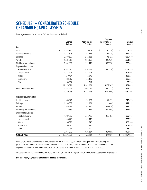## **SCHEDULE 1 – CONSOLIDATED SCHEDULE OF TANGIBLE CAPITAL ASSETS**

For the year ended December 31, 2021 (in thousands of dollars)

|                                 |              |                                  |                                          | Disposals,                          |                    |
|---------------------------------|--------------|----------------------------------|------------------------------------------|-------------------------------------|--------------------|
|                                 |              | <b>Opening</b><br><b>Balance</b> | <b>Additions and</b><br><b>Transfers</b> | Impairments and<br><b>Transfers</b> | Closing<br>Balance |
| Cost                            |              |                                  |                                          |                                     |                    |
| Land                            | \$           | 1,834,792                        | \$<br>174,826                            | \$<br>(6,226)                       | \$<br>2,003,392    |
| Land improvements               |              | 1,517,825                        | 258,446                                  | (1, 435)                            | 1,774,836          |
| <b>Buildings</b>                |              | 3,388,637                        | 172,816                                  | (1, 413)                            | 3,560,040          |
| Vehicles                        |              | 1,187,718                        | 157,353                                  | (43, 921)                           | 1,301,150          |
| Machinery and equipment         |              | 1,001,850                        | 111,447                                  | (20, 228)                           | 1,093,069          |
| Engineered structures:          |              |                                  |                                          |                                     |                    |
| Roadway system                  |              | 8,532,630                        | 570,779                                  | (36, 120)                           | 9,067,289          |
| Light rail transit              |              | 1,347,406                        | 474,098                                  |                                     | 1,821,504          |
| Waste                           |              | 150,454                          | 5,673                                    |                                     | 156,127            |
| Bus system                      |              | 233,817                          | 33,419                                   |                                     | 267,236            |
| Other                           |              | 83,562                           | 3,214                                    |                                     | 86,776             |
|                                 |              | 19,278,691                       | 1,962,071                                | (109, 343)                          | 21,131,419         |
| Assets under construction       |              | 1,882,257                        | (730, 153)                               | (30, 717)                           | 1,121,387          |
|                                 |              | 21,160,948                       | 1,231,918                                | (140,060)                           | 22,252,806         |
| <b>Accumulated Amortization</b> |              |                                  |                                          |                                     |                    |
| Land improvements               |              | 565,926                          | 54,582                                   | (1, 435)                            | 619,073            |
| <b>Buildings</b>                |              | 1,299,532                        | 123,871                                  | (406)                               | 1,422,997          |
| Vehicles                        |              | 685,487                          | 68,896                                   | (43,026)                            | 711,357            |
| Machinery and equipment         |              | 612,753                          | 78,684                                   | (19,505)                            | 671,932            |
| Engineered structures:          |              |                                  |                                          |                                     |                    |
| Roadway system                  |              | 4,089,362                        | 236,786                                  | (23, 483)                           | 4,302,665          |
| Light rail transit              |              | 493,278                          | 42,943                                   |                                     | 536,221            |
| Waste                           |              | 106,320                          | 2,640                                    |                                     | 108,960            |
| Bus system                      |              | 99,480                           | 9,936                                    |                                     | 109,416            |
| Other                           |              | 13,234                           | 1,999                                    |                                     | 15,233             |
|                                 |              | 7,965,372                        | 620,337                                  | (87, 855)                           | 8,497,854          |
| <b>Net Book Value</b>           | $\mathsf{S}$ | 13,195,576                       | \$<br>611,581                            | \$<br>(52, 205)                     | \$<br>13,754,952   |

Additions to assets under construction are reported net of those tangible capital assets placed in service during the year, which are shown in their respective asset classifications. In 2021, a total of \$95,448 in land, land improvements, and engineered structures were contributed to the City and were recorded at their fair value at the time received.

Included in disposals, impairments and transfers in 2021, is \$34,709 of tangible capital assets contributed to EPCOR (Note 19).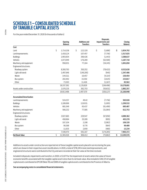# **SCHEDULE 1 – CONSOLIDATED SCHEDULE OF TANGIBLE CAPITAL ASSETS**

For the year ended December 31, 2020 (in thousands of dollars)

|                                 | Opening<br><b>Balance</b> | <b>Additions and</b><br><b>Transfers</b> | Disposals,<br>Impairments and<br><b>Transfers</b> | Closing<br><b>Balance</b> |
|---------------------------------|---------------------------|------------------------------------------|---------------------------------------------------|---------------------------|
| Cost                            |                           |                                          |                                                   |                           |
| Land                            | \$<br>1,714,158           | \$<br>122,320                            | \$<br>(1,686)                                     | \$<br>1,834,792           |
| Land improvements               | 1,418,124                 | 107,457                                  | (7, 756)                                          | 1,517,825                 |
| <b>Buildings</b>                | 2,993,654                 | 396,426                                  | (1, 443)                                          | 3,388,637                 |
| Vehicles                        | 1,073,949                 | 176,269                                  | (62,500)                                          | 1,187,718                 |
| Machinery and equipment         | 958,931                   | 77,164                                   | (34, 245)                                         | 1,001,850                 |
| Engineered structures:          |                           |                                          |                                                   |                           |
| Roadway system                  | 8,260,793                 | 350,252                                  | (78, 415)                                         | 8,532,630                 |
| Light rail transit              | 1,497,646                 | (149, 295)                               | (945)                                             | 1,347,406                 |
| Waste                           | 144,311                   | 10,457                                   | (4,314)                                           | 150,454                   |
| Bus system                      | 202,492                   | 33,350                                   | (2,025)                                           | 233,817                   |
| Other                           | 73,303                    | 11,426                                   | (1,167)                                           | 83,562                    |
|                                 | 18,337,361                | 1,135,826                                | (194, 496)                                        | 19,278,691                |
| Assets under construction       | 1,576,135                 | 361,753                                  | (55, 631)                                         | 1,882,257                 |
|                                 | 19,913,496                | 1,497,579                                | (250, 127)                                        | 21,160,948                |
| <b>Accumulated Amortization</b> |                           |                                          |                                                   |                           |
| Land improvements               | 524,257                   | 49,42                                    | (7,756)                                           | 565,926                   |
| <b>Buildings</b>                | 1,180,696                 | 119,931                                  | (1,095)                                           | 1,299,532                 |
| Vehicles                        | 681,549                   | 65,437                                   | (61, 499)                                         | 685,487                   |
| Machinery and equipment         | 566,232                   | 77,585                                   | (31,064)                                          | 612,753                   |
| Engineered structures:          |                           |                                          |                                                   |                           |
| Roadway system                  | 3,927,665                 | 229,547                                  | (67, 850)                                         | 4,089,362                 |
| Light rail transit              | 458,964                   | 35,209                                   | (895)                                             | 493,278                   |
| Waste                           | 107,104                   | 2,198                                    | (2,982)                                           | 106,320                   |
| Bus system                      | 90,368                    | 9,776                                    | (664)                                             | 99,480                    |
| Other                           | 11,635                    | 2,059                                    | (460)                                             | 13,234                    |
|                                 | 7,548,470                 | 591,167                                  | (174, 265)                                        | 7,965,372                 |
| <b>Net Book Value</b>           | \$<br>12,365,026          | \$<br>906,412                            | \$<br>(75, 862)                                   | \$<br>13,195,576          |

Additions to assets under construction are reported net of those tangible capital assets placed in service during the year, which are shown in their respective asset classifications. In 2020, a total of \$118,245 in land, land improvements, and engineered structures were contributed to the City and were recorded at their fair value at the time received.

Included in disposals, impairments and transfers, in 2020, is \$3,671 for the impairment of assets where the value of future economic benefits associated with the tangible capital asset is less than its net book value. Also included is \$48,331 of tangible capital assets contributed to EPCOR (Note 19) and \$989 of tangible capital assets contributed to the Province of Alberta.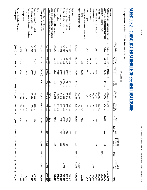| I<br>ׇ֚֓                                                        |
|-----------------------------------------------------------------|
| í<br>֖֖֖֖ׅ֖֧֧֧֖֚֚֚֚֚֚֚֚֚֚֚֚֚֚֚֚֚֚֚֚֚֚֚֚֚֚֚֚֚֚֚֚֚֬֝֓֡֡֓֞֝֓֞֝֬֝֓֞ |
|                                                                 |
|                                                                 |
|                                                                 |
|                                                                 |
|                                                                 |
|                                                                 |
|                                                                 |
|                                                                 |
|                                                                 |
|                                                                 |
|                                                                 |
|                                                                 |
|                                                                 |
|                                                                 |
|                                                                 |
|                                                                 |
|                                                                 |
|                                                                 |
|                                                                 |
|                                                                 |
|                                                                 |
|                                                                 |
|                                                                 |
|                                                                 |
|                                                                 |
|                                                                 |
|                                                                 |
|                                                                 |
|                                                                 |
|                                                                 |
|                                                                 |
|                                                                 |
|                                                                 |
|                                                                 |
|                                                                 |
|                                                                 |
|                                                                 |
|                                                                 |
|                                                                 |
|                                                                 |
|                                                                 |
| l                                                               |
|                                                                 |
| I<br>֚<br>Ï                                                     |
| ć<br>J<br>ł                                                     |
| :<br>i<br>ł                                                     |
|                                                                 |
| ׇ֚֘֝֬<br>֡֡֡֡<br>ׇ֚֬<br>2                                       |
| ś<br>ׇ֚֘֡<br>ь                                                  |
| ļ<br>ׇ֚֬֕<br>]<br>1<br>İ                                        |
| I<br>ׇ֠<br>j<br>l                                               |
| ì<br>i<br>ħ<br>i                                                |
| i                                                               |
| í<br>z<br>î<br>١                                                |
| í                                                               |
| j<br>Б<br>l                                                     |
| ł<br>ļ<br>ı<br>i                                                |
| ֖֖֖֖֖֖֖֖֧֪֪֪ׅ֖֚֚֚֚֚֚֚֚֚֚֚֚֚֚֚֚֚֚֚֬֕֓֕֓֡֬֝֬֝֝֓֞֝֓<br>ĵ<br>į      |
| ł<br>j<br>l<br>≅<br>ś                                           |
| í<br>1                                                          |
| L<br>֠<br>1                                                     |
| Þ<br>4                                                          |
| ń<br>I<br>֖֖֖֪ׅ֪ׅ֖֪ׅ֖֪ׅ֪ׅ֪֪֪ׅ֛֚֚֚֚֚֚֚֚֚֚֚֚֚֚֚֚֡֝֝֝֝֓֓֞֬֝֓֞<br>ś |
| I<br>٦<br>Z<br>$\frac{1}{2}$<br>ł                               |
| Ò<br>I                                                          |
| È<br>í<br>ì<br>֡֡֡֡֡֡֡֡֡                                        |
|                                                                 |

# SCHEDULE 2 - CONSOLIDATED SCHEDULE OF SEGMENT DISCLOSURE **SCHEDULE 2 – CONSOLIDATED SCHEDULE OF SEGMENT DISCLOSURE**

For the year ended December 31, 2021 (in thousands of dollars) For the year ended December 31, 2021 (in thousands of dollars)

| Developer and customer contributions<br>Government transfers - capital<br>Local improvements<br>Contributed tangible capital assets<br>-capital<br>245,883<br>290,609<br>42,747<br><b>1.979</b><br>6,328<br>6,317<br>$\overline{\overline{L}}$<br>167,049<br>129,298<br>33,732<br>4,019<br>95/'09<br>11,468<br>18,969<br>30,303<br>$5\overline{0}$<br>524,742<br>411,801<br>95,448<br>11,468<br>6,025<br>1,604<br>2,349<br>745 |         |        |       |        |         | Other | (Shortfall) Excess of Revenues<br>over Expenses before Other<br>(383, 142)<br>(29, 403)<br>(56, 162)<br>(23,858)<br>252,613<br>239,952)<br>19,087<br>20,814<br>(1,496) | 908,266<br>789,587<br>623,868<br>38,809<br>500,913<br>2,861,443<br>202,808<br>23,425<br>1,606 | Loss (gain) on disposal, impairment and<br>transfer of tangible capital assets<br>12,683<br>6+8<br><b>181</b><br>(1,983)<br>(4,536)<br>7,194<br>4,410 | Amortization of tangible capital assets<br>311,549<br>27,640<br>54,224<br>55,227<br>147,023<br>595,663<br>24,532<br>142 | Grants and other<br>$\frac{8}{2}$<br>440<br>122,065<br>36,224<br>158,818 | Interest and bank charges<br>52,841<br>3912<br>37,957<br>(2,961)<br>14,919<br>105,924<br>8,301<br>$1.874$<br>955 | Contracted and general services<br>107,618<br>86,605<br>126,923<br>(139,096)<br>4,355<br>186,405<br>106,185<br>4,899<br>058 | Materials, goods and utilities<br>911'06<br>41,897<br>59,325<br>51,293<br>23,620<br>266,251<br>10,996<br>15,314<br>88 | Salaries, wages and benefits<br>333,370<br>628,988<br>223,193<br>76,329<br>279,308<br>1,541,188<br>48,384<br>1,338 | Expenses | 525,124<br>760,184<br>567,706<br>14,951<br>753,526<br>2,621,491<br>221,895<br>44,239<br>110 | Appropriation of earnings<br>40,687<br>40,687 | Developer and customer contributions -<br>dperating<br>124<br>29,795<br>29,919<br>7,612 | Licenses and permits<br>3,294<br>3,070<br>64,217<br>7,037<br>77,618 | Fines and penalties<br>38,449<br>$\overline{6}$<br>28,677<br>67,223 | Investment earnings<br>1,061<br>83,104<br>84,165<br>161 | Government transfers - operating<br>4,414<br>30,366<br>62,041<br>47,547<br>144,368<br>455<br>95 | Franchise fees<br>183,021<br>183,021 | Subsidiary operations - EPCOR | User fees and sale of goods and services<br>70,433<br>31,938<br>86,493<br>14,951<br>44,901<br>248,716<br>213,667<br>44,239<br>54 | Net taxes available for municipal purposes<br>Revenues<br>S<br>446,983<br>$\sim$<br>656,237<br>S<br>324,002<br>S<br>∽<br>318,552<br>51,745,774 | Transportation<br>Services<br>Protective<br>Services<br>Community<br>Services<br>Fleet<br>Services<br>Other Tax-<br>Supported<br>Total Tax-<br>Supported<br><b>Waste</b><br>Services<br>Land<br>Enterprise<br>Renewable<br>Energy<br><b>Blatchford</b> | Lax-Supported |
|--------------------------------------------------------------------------------------------------------------------------------------------------------------------------------------------------------------------------------------------------------------------------------------------------------------------------------------------------------------------------------------------------------------------------------|---------|--------|-------|--------|---------|-------|------------------------------------------------------------------------------------------------------------------------------------------------------------------------|-----------------------------------------------------------------------------------------------|-------------------------------------------------------------------------------------------------------------------------------------------------------|-------------------------------------------------------------------------------------------------------------------------|--------------------------------------------------------------------------|------------------------------------------------------------------------------------------------------------------|-----------------------------------------------------------------------------------------------------------------------------|-----------------------------------------------------------------------------------------------------------------------|--------------------------------------------------------------------------------------------------------------------|----------|---------------------------------------------------------------------------------------------|-----------------------------------------------|-----------------------------------------------------------------------------------------|---------------------------------------------------------------------|---------------------------------------------------------------------|---------------------------------------------------------|-------------------------------------------------------------------------------------------------|--------------------------------------|-------------------------------|----------------------------------------------------------------------------------------------------------------------------------|------------------------------------------------------------------------------------------------------------------------------------------------|--------------------------------------------------------------------------------------------------------------------------------------------------------------------------------------------------------------------------------------------------------|---------------|
|                                                                                                                                                                                                                                                                                                                                                                                                                                |         |        |       |        |         |       |                                                                                                                                                                        |                                                                                               |                                                                                                                                                       |                                                                                                                         |                                                                          |                                                                                                                  |                                                                                                                             |                                                                                                                       |                                                                                                                    |          |                                                                                             |                                               |                                                                                         |                                                                     |                                                                     |                                                         |                                                                                                 |                                      |                               |                                                                                                                                  |                                                                                                                                                |                                                                                                                                                                                                                                                        |               |
|                                                                                                                                                                                                                                                                                                                                                                                                                                |         |        |       |        |         |       | 387,730<br>78,855                                                                                                                                                      | 4,221                                                                                         |                                                                                                                                                       |                                                                                                                         |                                                                          |                                                                                                                  | 4,221                                                                                                                       |                                                                                                                       |                                                                                                                    |          | 387,730<br>83,076                                                                           | (40,687)                                      |                                                                                         |                                                                     |                                                                     | 123,763                                                 |                                                                                                 |                                      | 387,730                       |                                                                                                                                  |                                                                                                                                                | EPCOR<br>Endowment<br>Fund<br>Ed Tel                                                                                                                                                                                                                   |               |
|                                                                                                                                                                                                                                                                                                                                                                                                                                | 527,091 | 11,468 | 6,770 | 95,448 | 413,405 |       | 265,038                                                                                                                                                                | 3,093,503                                                                                     | 11,604                                                                                                                                                | 620,337                                                                                                                 | 158,818                                                                  | 116,655                                                                                                          | 302,560                                                                                                                     | 292,619                                                                                                               | 1,590,910                                                                                                          |          | 3,358,541                                                                                   |                                               | 37,531                                                                                  | 77,618                                                              | 67,223                                                              | 208,089                                                 | 144,879                                                                                         | 183,021                              | 387,730                       | 506,676                                                                                                                          | 51,745,774                                                                                                                                     | 2021                                                                                                                                                                                                                                                   |               |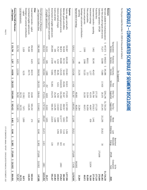| ֕                                                                        |
|--------------------------------------------------------------------------|
| i<br>֖֖֖֖֖֪ׅ֖֚֚֚֚֚֚֚֚֚֚֚֚֚֚֚֚֚֚֚֚֚֚֚֚֬֕֝֝֝֝֝֝<br>j                       |
|                                                                          |
|                                                                          |
|                                                                          |
|                                                                          |
|                                                                          |
|                                                                          |
|                                                                          |
|                                                                          |
|                                                                          |
|                                                                          |
|                                                                          |
|                                                                          |
|                                                                          |
|                                                                          |
|                                                                          |
|                                                                          |
|                                                                          |
|                                                                          |
|                                                                          |
|                                                                          |
|                                                                          |
|                                                                          |
|                                                                          |
|                                                                          |
|                                                                          |
|                                                                          |
|                                                                          |
|                                                                          |
|                                                                          |
|                                                                          |
|                                                                          |
|                                                                          |
|                                                                          |
|                                                                          |
|                                                                          |
|                                                                          |
|                                                                          |
|                                                                          |
|                                                                          |
|                                                                          |
|                                                                          |
| $\vdots$                                                                 |
|                                                                          |
| I                                                                        |
|                                                                          |
| -<br>-<br>-<br>-                                                         |
|                                                                          |
| l<br>፡                                                                   |
| Z<br>t<br>5                                                              |
| ī<br>I                                                                   |
| i                                                                        |
| ׇ֚֬֕<br>f<br>j<br>i                                                      |
|                                                                          |
| 5<br>ı<br>z                                                              |
| l<br>۱                                                                   |
| ī<br>í                                                                   |
| l<br>I<br>֦֦֧ׅ֦֚֚֚֚֚֚֚֚֚֚֚֚֚֚֚֚֬֝֕֓֡֜֓֡֓֡֓֡֬֓֓֡֬֓֓֓֡֬֓֓֡֡֬֓֓֞֓֡֓֓֡֬֓֓֞֡֬ |
| ׅ֘֒<br>,                                                                 |
| J                                                                        |
| ś<br>j<br>Ï                                                              |
| ì                                                                        |
| ь                                                                        |
| i<br>S                                                                   |
| l<br>i                                                                   |
| l                                                                        |
| š                                                                        |

|                                                                         |                            |                        | Tax-Supported         |                   |                         |                         |                   |                         |                                   |                      |                             |             |
|-------------------------------------------------------------------------|----------------------------|------------------------|-----------------------|-------------------|-------------------------|-------------------------|-------------------|-------------------------|-----------------------------------|----------------------|-----------------------------|-------------|
|                                                                         | Transportation<br>Services | Protective<br>Services | Community<br>Services | Fleet<br>Services | Other Tax-<br>Supported | Total Tax-<br>Supported | Waste<br>Services | Land<br>Enterprise      | Blatchford<br>Renewable<br>Energy | <b>EPCOR</b>         | Ed Tel<br>Endowment<br>Fund | 2020        |
| Revenues                                                                |                            |                        |                       |                   |                         |                         |                   |                         |                                   |                      |                             |             |
| Net taxes available for municipal purposes                              | S                          | S<br>646,815           | S<br>341,086          |                   | \$291,246               | \$1,726,220             |                   |                         |                                   |                      |                             | \$1,726,220 |
| User fees and sale of goods and services                                | 447,073<br>75,377          | 32,088                 | 73,880                | 17,430            | 26,570                  | 225,345                 | 211,295           | 25,012                  | δg                                |                      |                             | 461,682     |
| Subsidiary operations - EPCOR                                           |                            |                        |                       |                   |                         |                         |                   |                         |                                   | 275,699              |                             | 275,699     |
| Franchise fees                                                          |                            |                        |                       |                   | 177,120                 | 177,120                 |                   |                         |                                   |                      |                             | 177,120     |
| Government transfers - operating                                        | 3,462                      | 30,345                 | 40,422                |                   | 201,784                 | 276,013                 | 1,441             |                         |                                   |                      |                             | 277,454     |
| Investment earnings                                                     |                            |                        | 1,277                 |                   | 43,570                  | 44,847                  | 659               |                         |                                   |                      | 32,654                      | 78,160      |
| Fines and penalties                                                     |                            | E0,611                 | 213                   |                   | 21,034                  | 81,858                  |                   |                         |                                   |                      |                             | 81,858      |
| Licenses and permits                                                    | 2,599                      | 2,998                  | 53,325                |                   | 10,150                  | 69,072                  |                   |                         |                                   |                      |                             | 220'69      |
| Developer and customer contributions -                                  |                            |                        |                       |                   |                         |                         |                   |                         |                                   |                      |                             |             |
| Appropriation of earnings<br>operating                                  |                            | 48                     | 23,235                |                   | 40,093                  | 40,093<br>23,284        |                   |                         |                                   |                      | (40,093)                    | 23,284      |
|                                                                         | 528,512                    | 772,905                | 533,438               | 17,430            | 811,567                 | 2,663,852               | 213,395           | 25,012                  | δg                                | 275,699              | (2,439)                     | 3170,549    |
| Expenses                                                                |                            |                        |                       |                   |                         |                         |                   |                         |                                   |                      |                             |             |
| Salaries, wages and benefits                                            | 332,897                    | 620,189                | 219,463               | 82,615            | 272,835                 | 1,527,999               | 48,141            | 1,456                   |                                   |                      |                             | 1,577,596   |
| Materials, goods and utilities                                          | 94,928<br>98,874           | 39,723                 | 54,443                | 49,296            | 30,167                  | 268,557                 | 8,402             | <b>PLL, 7</b>           | 543<br>543<br>551                 |                      |                             | 284,160     |
| Contracted and general services                                         |                            | 84,080                 | 125,535               | (144, 625)        | (10, 236)               | 153,628                 | 113,777           | 4,941                   |                                   |                      | 2,863                       | 275,852     |
| Interest and bank charges                                               | 75,767                     | 3210                   | 38,281                | <b>6.311</b>      | 9,250                   | 132,819                 | 85.589            | 1,956                   |                                   |                      |                             | 143,915     |
| Grants and other                                                        | 96T                        | 387                    | 98,472                |                   | 25,240                  | 124,295                 | 1,188             |                         |                                   |                      |                             | 125,483     |
| Amortization of tangible capital assets                                 | 293,696                    | 27,839                 | 53,881                | 51,901            | 141,076                 | 568,393                 | 22,635            |                         | 139                               |                      |                             | 191159      |
| Loss on disposal, impairment and transfer<br>of tangible capital assets | 14,152                     | G03                    | 1,989                 | 257               | 4,819                   | 21,822                  | 3455              |                         |                                   |                      |                             | 25,277      |
|                                                                         | 010,510                    | 776,033                | 592,064               | 45,755            | 473,151                 | 2,797,513               | 206,187           | 15,472                  | 1,415                             |                      | 2,863                       | 3,023,450   |
| (Shortfall) excess of Revenues<br>over Expenses before Other            | (381, 998)                 | (3128)                 | (58, 626)             | (28, 325)         | 338,416                 | (133, 661)              | 7,208             | 05540                   | (1, 385)                          | 275,699              | (10, 302)                   | 147,099     |
| Other                                                                   |                            |                        |                       |                   |                         |                         |                   |                         |                                   |                      |                             |             |
| Government transfers - capital                                          | 454,603                    | 4,425                  | 84,574<br>29,775      |                   | 21,640<br>10,310        | 565,242<br>118,245      | 274               |                         |                                   |                      |                             | 565,516     |
| Contributed tangible capital assets                                     | 78,160                     |                        |                       |                   |                         |                         |                   |                         |                                   |                      |                             | 118,245     |
| Developer and customer contributions<br>-capital                        | 1,029                      |                        | 9,235                 |                   | (2, 391)                | 7,873                   | 1,000             |                         |                                   |                      |                             | 8,873       |
| ocal improvements                                                       |                            |                        |                       |                   | 24,723                  | 24,723                  |                   |                         |                                   |                      |                             | 24,723      |
|                                                                         | 533,792                    | 4,425                  | 123,584               |                   | 54,282                  | 716,083                 | 1,274             |                         |                                   |                      |                             | 717,357     |
| Excess (Shortfall) of Revenues                                          | s<br>151,794               | S<br>1,297             | s<br>64,958           | s<br>(28, 325)    | \$392,698               | s<br>582,422<br>S       |                   |                         |                                   | $(1,385)$ \$ 275,699 | 5(10,302)                   | 864,456     |
| over Expenses                                                           |                            |                        |                       |                   |                         |                         | 8482<br>n         | 0 <sup>5,540</sup><br>S |                                   |                      | s                           |             |

# SCHEDULE 2 - CONSOLIDATED SCHEDULE OF SEGMENT DISCLOSURE **SCHEDULE 2 – CONSOLIDATED SCHEDULE OF SEGMENT DISCLOSURE**

For the year ended December 31, 2020 (in thousands of dollars) For the year ended December 31, 2020 (in thousands of dollars)

PAGE 70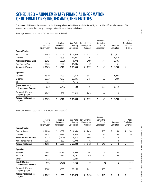## **SCHEDULE 3 – SUPPLEMENTARY FINANCIAL INFORMATION OF INTERNALLY RESTRICTED AND OTHER ENTITIES**

The assets, liabilities and the operations of the following related authorities are included in the City's consolidated financial statements. The amounts are reported before any inter-organizational transactions are eliminated.

For the year ended December 31, 2021 (in thousands of dollars)

|                                                 |               |              |             |               | Edmonton   |             | Waste        |
|-------------------------------------------------|---------------|--------------|-------------|---------------|------------|-------------|--------------|
|                                                 | City of       | Explore      | Non-Profit  | Fort Edmonton | Combative  |             | RE-solutions |
|                                                 | Edmonton      | Edmonton     | Housing     | Management    | Sports     | Innovate    | Edmonton     |
|                                                 | Library Board | Corporation  | Corporation | Company       | Commission | Edmonton    | (Note 1)     |
| <b>Financial Position</b>                       |               |              |             |               |            |             |              |
| <b>Financial Assets</b>                         | 24,939<br>S.  | \$22,225     | Ŝ.<br>8,945 | Ś<br>4,387    | \$<br>237  | Ŝ.<br>7,917 | \$           |
| Liabilities                                     | 9,125         | 23,805       | 54,937      | 2,291         |            | 6,212       |              |
| <b>Net Financial Assets (Debt)</b>              | 15,814        | (1,580)      | (45, 992)   | 2,096         | 237        | 1,705       |              |
| Non-Financial Assets                            | 37,222        | 7,500        | 69,936      | 429           |            | 61          |              |
| <b>Accumulated Surplus</b>                      | Ś.<br>53,036  | \$.<br>5,920 | \$23,944    | \$<br>2,525   | \$<br>237  | \$<br>1,766 | \$           |
| <b>Operations</b>                               |               |              |             |               |            |             |              |
| Revenues                                        | 53,366        | 44,499       | 11,813      | 3,841         | (1)        | 6,097       |              |
| Expenses                                        | 58,220        | 40,573       | 12,405      | 3,754         | 11         | 4,339       |              |
| Other                                           | 8,233         | 35           | 1,116       |               |            |             |              |
| (Shortfall) Excess of<br>Revenues over Expenses | 3,379         | 3,961        | 524         | 87            | (12)       | 1,758       |              |
| Accumulated Surplus,<br>beginning of year       | 49,657        | 1,959        | 23,420      | 2,438         | 249        | 8           |              |
| <b>Accumulated Surplus, end</b><br>of year      | Ś.<br>53,036  | Ś.<br>5,920  | \$23,944    | \$<br>2,525   | \$<br>237  | Ś.<br>1,766 | \$           |

For the year ended December 31, 2020 (in thousands of dollars)

|                                                        |               |             |             |               | Edmonton      |          |              |
|--------------------------------------------------------|---------------|-------------|-------------|---------------|---------------|----------|--------------|
|                                                        | City of       | Explore     | Non-Profit  | Fort Edmonton | Combative     |          | Waste        |
|                                                        | Edmonton      | Edmonton    | Housing     | Management    | <b>Sports</b> | Innovate | RE-solutions |
|                                                        | Library Board | Corporation | Corporation | Company       | Commission    | Edmonton | Edmonton     |
| <b>Financial Position</b>                              |               |             |             |               |               |          |              |
| <b>Financial Assets</b>                                | S.<br>21,908  | \$13,589    | Ś.<br>8,950 | Ś<br>2,498    | \$<br>263     | \$<br>69 | \$<br>386    |
| Liabilities                                            | 11,783        | 19,313      | 29,528      | 543           | 14            | 64       | 386          |
| Net Financial Assets (Debt)                            | 10,125        | (5, 724)    | (20,578)    | 1,955         | 249           | 5        |              |
| Non-Financial Assets                                   | 39,532        | 7,683       | 43,998      | 483           |               | 3        |              |
| <b>Accumulated Surplus</b>                             | Ś.<br>49,657  | Ś.<br>1,959 | \$23,420    | Ś<br>2,438    | \$<br>249     | \$<br>8  | \$           |
| <b>Operations</b>                                      |               |             |             |               |               |          |              |
| Revenues                                               | 51,482        | 35,673      | 9,556       | 967           | $\mathbf{1}$  | 100      | 22           |
| Expenses                                               | 55,443        | 43,719      | 9,761       | 940           | 10            | 92       | 213          |
| Other                                                  | 9,731         |             | 1,489       |               |               |          |              |
| (Shortfall) Excess of<br><b>Revenues over Expenses</b> | 5,770         | (8,046)     | 1,284       | 27            | (9)           | 8        | (191)        |
| Accumulated Surplus,<br>beginning of year              | 43,887        | 10,005      | 22,136      | 2,411         | 258           |          | 191          |
| <b>Accumulated Surplus, end</b><br>of year             | S.<br>49,657  | Ŝ.<br>1,959 | \$23,420    | Ś<br>2,438    | \$<br>249     | \$<br>8  | \$           |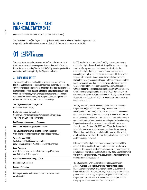For the year ended December 31, 2021 (in thousands of dollars)

The City of Edmonton (the City) is a municipality in the Province of Alberta, Canada and operates under the provisions of the Municipal Government Act, R.S.A., 2000, c. M-26, as amended (MGA).

# **01 ACCOUNTING POLICIES**

The consolidated financial statements (the financial statements) of the City are prepared by management in accordance with Canadian Public Sector Accounting Standards (PSAS). Significant aspects of the accounting policies adopted by the City are as follows:

## A. **REPORTING ENTITY**

The financial statements reflect the revenues, expenses, assets, liabilities and accumulated surplus of the reporting entity. The reporting entity comprises all organizations and enterprises accountable for the administration of their financial affairs and resources to the City and which are controlled by the City. In addition to general government tax-supported departments, these organizations, enterprises and utilities are consolidated and include the following:

### **The City of Edmonton Library Board**

(Edmonton Public Library)

#### **Explore Edmonton Corporation**

(formerly Edmonton Economic Development Corporation), including TEC Edmonton partnership

**Fort Edmonton Management Company**

### **Edmonton Combative Sports Commission**

#### **The City of Edmonton Non-Profit Housing Corporation**  (Non-Profit Housing Corporation, operating as "homeED")

### **Waste Services Utility**

(including 2492369 Canada Corporation, previously operating as Waste RE-solutions Edmonton)

#### **Land Enterprise**

(Land Development, Land for Future Municipal Purposes and Blatchford Redevelopment)

### **Blatchford Renewable Energy Utility**

### **Ed Tel Endowment Fund**

### **Innovate Edmonton**

Interdepartmental and inter-organizational transactions are eliminated.

EPCOR, a subsidiary corporation of the City, is accounted for on a modified equity basis, consistent with the public sector accounting treatment for a government business enterprise. Under the modified equity basis, the government business enterprise's accounting principles are not adjusted to conform with those of the City, and inter-organizational transactions and balances are not eliminated. The City recognizes its equity interest in the annual other comprehensive income (loss) due to fair value adjustments on the Consolidated Statement of Operations and Accumulated surplus with a corresponding increase (decrease) in the investment account. Contributions of tangible capital assets to EPCOR from the City are recorded as an increase to the investment in EPCOR, and any dividends that the City receives from EPCOR are recorded as a decrease to the investment account.

The City, through its wholly-owned subsidiary Explore Edmonton Corporation (EE) (previously operating as Edmonton Economic Development Corporation (EEDC)), held a 50 per cent interest in TEC Edmonton, a partnership with the University of Alberta to stimulate entrepreneurialism, advance corporate development and accelerate commercialization of new ideas and technologies that benefit society. Proportionate consolidation is used to record the City's share in the partnership. On March 30, 2021, both EE and the University of Alberta decided to terminate their participation in the partnership. This decision resulted in the dissolution of the partnership, with all assets existing within the partnership being distributed equally to the partners by August 31, 2021.

In December 2019, City Council voted to change the scope of EE's responsibilities, requiring the organization to refine their focus to economic development and tourism and move away from supporting new business innovations and startups. In May, 2020, Council approved the formation of a new entity, Innovate Edmonton, to guide the City's business innovation ecosystem.

The City is the sole Shareholder of its subsidiary corporation, 2492369 Canada Corporation, previously operating as Waste RE-solutions Edmonton (WRsE). At the October 10, 2018 Annual General Shareholder Meeting, the City, in its capacity as Shareholder, passed a resolution to begin the process to put the 2492369 Canada Corporation into dormancy. This process was completed, and the Company became dormant effective June 30, 2021.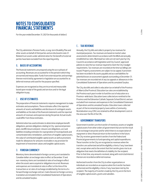For the year ended December 31, 2021 (in thousands of dollars)

The City administers Pension Funds, a Long-term Disability Plan and other assets on behalf of third parties and are disclosed in note 21. Related trust assets under administration for the benefit of external parties have been excluded from the reporting entity.

## B*.*  **BASIS OF ACCOUNTING**

The financial statements are prepared using the accrual basis of accounting. Revenues are accounted for in the period in which they are earned and measurable. Funds from external parties and earnings thereon restricted by agreement or legislation are accounted for as deferred revenue until used for the purpose specified.

Expenses are recognized as they are incurred and measurable based upon receipt of the goods and services and/or the legal obligation to pay.

## C. **USE OF ESTIMATES**

The preparation of financial statements requires management to make estimates and assumptions. These estimates affect the reported amounts of assets and liabilities and disclosure of contingent assets and liabilities at the date of the financial statements and the reported amounts of revenues and expenses during the period. Actual results could differ from those estimates.

Administration has used estimates to determine employee benefit obligations, pension obligations relating to City-sponsored pension plans, landfill closure and post-closure care obligations, accrued liabilities including estimates for expropriation of municipal lands and contaminated sites remediation, useful lives of tangible capital assets, the value of contributed tangible capital assets as well as provisions made for allowances for amounts receivable or any provision for impairment of investment values and tangible capital assets.

## D. **FOREIGN CURRENCY**

Monetary items denominated in foreign currency are translated to Canadian dollars at exchange rates in effect at December 31 and non-monetary items are translated at rates of exchange in effect when the assets were acquired or obligations incurred. Revenues and expenses are translated at rates in effect at the time of the transactions or at rates of exchange established by the terms of a forward foreign exchange contract. Gains (losses) on foreign currency translation are included in the Consolidated Statement of Operations and Accumulated Surplus.

## E*.*  **TAX REVENUE**

Annually, the City bills and collects property tax revenues for municipal purposes. Tax revenues are based on market value assessments determined in accordance with the MGA and annually established tax rates. Municipal tax rates are set each year by City Council in accordance with legislation and City Council-approved policies to raise the tax revenue required to meet the City's budget requirements. Tax revenues are recorded at the time tax billings are issued. Property assessments are subject to tax appeal. A provision has been recorded in Accounts payable and accrued liabilities for potential losses on assessment appeals outstanding at December 31. Tax revenues are recorded net of any tax appeals or allowances in the Consolidated Statement of Operations and Accumulated Surplus.

The City also bills and collects education tax on behalf of the Province of Alberta (the Province). Education tax rates are established by the Province each year in order to fund the cost of education on a Province-wide basis. Education taxes collected are remitted to the Province and the Edmonton Catholic Separate School District and are excluded from revenues and expenses in the Consolidated Statement of Operations and Accumulated Surplus. Education taxes collected as part of the incremental property taxes within a Community Revitalization Levy (CRL) are retained to offset development costs in the area over the life of the CRL.

## F. **GOVERNMENT TRANSFERS**

Government transfers are the transfer of monetary assets or tangible capital assets from other orders of government that are not the result of an exchange transaction and for which there is no expectation of repayment or direct financial return to the transferor in the future. The City receives government transfers from the Federal and Provincial governments to fund operating and capital expenditures. These transfers to the City are recognized as revenues when the transfers are authorized and all the eligibility criteria, if any, have been met, except when and to the extent that the transfer gives rise to an obligation that meets the definition of a liability for the recipient. Prior to that time, any amounts received, along with restricted interest thereon are recorded as deferred revenue.

Authorized transfers from the City to other organizations or individuals are recorded as an expense when the transfer has been authorized and the eligibility criteria, if any, have been met by the recipient. The majority of transfers made by the City are in the form of tangible capital assets, grants and subsidies.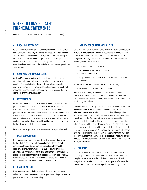For the year ended December 31, 2021 (in thousands of dollars)

## G. **LOCAL IMPROVEMENTS**

When a service or improvement is deemed to benefit a specific area more than the municipality as a whole, the project may be classified as a local improvement under the MGA, to be paid in whole or in part by a tax imposed on the benefiting property owners. The property owners' share of the improvement is recognized as revenue, and established as a receivable, in the period that the project expenditures are completed.

## H. **CASH AND CASH EQUIVALENTS**

Cash and Cash equivalents consist of cash on deposit, bankers' acceptances, treasury bills and commercial paper, at cost, which approximates market value. These cash equivalents generally mature within ninety days from the date of purchase, are capable of reasonably prompt liquidation and may be used to manage the City's cash position throughout the year.

## I. **INVESTMENTS**

Fixed income investments are recorded at amortized cost. Purchase premiums and discounts are amortized on the net present value basis over the terms of the issues. Investments in common and preferred shares and pooled funds are recorded at cost. Where there has been a loss in value that is other than a temporary decline, the respective investment is written down to recognize the loss. Any net undistributed realized losses in multi-unit investment trusts managed by the City are recorded in the year incurred.

Investment earnings are recorded as revenue in the period earned.

## J. **DEBT RECOVERABLE**

Debt recoverable consists of long-term debt amounts borrowed by the City that are recoverable under loans or other financial arrangements made to non-profit organizations. These debt recoverable amounts are recorded at a value equivalent to the offsetting outstanding long-term debt balances as at December 31. Loans are recorded at the lower of cost and net recoverable value. A valuation allowance in the debt recoverable is recognized when the City no longer has reasonable assurance of collection.

## K. **LAND FOR RESALE**

Land for resale is recorded at the lower of cost and net realizable value. Cost includes amounts for land acquisition and improvements to prepare the land for sale or servicing.

## L. **LIABILITY FOR CONTAMINATED SITES**

Contaminated sites are the result of a chemical, organic or radioactive material or live organism in amounts that exceed an environmental standard being introduced into soil, water or sediment. The City recognizes a liability for remediation of contaminated sites when the following criteria have been met:

- **+** an environmental standard exists,
- **+** there is evidence that contamination exceeds an environmental standard,,
- **+** the City is directly responsible or accepts responsibility for the contamination,
- **+** it is expected that future economic benefits will be given up, and
- **+** a reasonable estimate of the amount can be made.

Sites that are currently in productive use are only considered contaminated sites if an unexpected event results in remediation. In cases where the City's responsibility is not determinable, a contingent liability may be disclosed.

The liability reflects the City's best estimate, as of December 31, of the amount required to remediate non-productive sites to the current minimum standard of use prior to contamination. Where possible, provisions for remediation are based on environmental assessments completed on a site; for those sites where an assessment has not been completed, estimates of the remediation are completed using information available for the site and by extrapolating from the cost to clean up similar sites. The liability is recorded net of any estimated recoveries from third parties. When cash flows are expected to occur over extended future periods the City will measure the liability using present value techniques. This liability is reported in Accounts payable and accrued liabilities (Trade and other) in the Consolidated Statement of Financial Position.

## M. **DEPOSITS**

Deposits are held for the purposes of securing the compliance of a third party to contractual stipulations. Deposits are returned when compliance with contractual stipulations is determined. The City recognizes deposits into revenue when a third party defaults on the contractual stipulations that the deposits were securing against.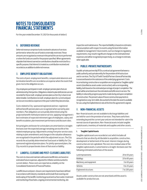For the year ended December 31, 2021 (in thousands of dollars)

## N. **DEFERRED REVENUE**

Deferred revenue comprises funds received in advance of services performed or where the use of funds is externally restricted. These amounts are recognized as revenue in the period the service is performed or when the funds are used for the purpose specified. When agreements stipulate that interest earned on contributions should be restricted for a specific purpose, that interest is treated as a contribution received and recorded as an addition to deferred revenue.

## O. **EMPLOYEE BENEFIT OBLIGATIONS**

The costs of post-employment benefits, compensated absences and termination benefits are recorded as an expense when the event that gives rise to the obligation occurs.

City employees participate in multi-employer pension plans that are administered by third parties. Obligations related to plan deficiencies are not recorded for these multi-employer pension plans as the City's share is not determinable. Contributions to multi-employer plans for current and past service are recorded as expenses in the year in which they become due.

Costs related to City-sponsored registered and non-registered defined benefit pension plans are recognized when earned by plan members. Plan obligations are actuarially determined using the projected benefit method prorated on service, applying management's best estimates of expected retirement ages of employees, salary and benefit escalation, plan investment performance and discount rates.

Actuarial gains and losses for active plans are amortized on a straightline basis over the expected average remaining service life of the related employee group. Adjustments arising from prior service costs relating to plan amendments and changes in the valuation allowance are recognized in the period in which the adjustment occurs. The City records the actuarially determined net fund asset or liability for Citysponsored registered pension plans. For jointly sponsored plans, the City records its proportionate share of that asset or liability.

## P. **LANDFILL CLOSURE AND POST-CLOSURE LIABILITIES**

The costs to close and maintain solid waste landfill sites are based on estimated future expenses, adjusted for inflation and discounted to current dollars. These costs are reported as a liability on the Consolidated Statement of Financial Position.

Landfill closure and post-closure care requirements have been defined in accordance with industry standards and include final covering and landscaping of the landfill, monitoring ground and surface water, treatment and monitoring of leachates, ongoing environmental monitoring, site

inspection and maintenance. The reported liability is based on estimates and assumptions with respect to events using the best information available to management. Future events, such as changes to regulatory requirements, may result in significant changes to the estimated total expenses and will be recognized prospectively, as a change in estimate, when applicable.

## Q. **PUBLIC-PRIVATE PARTNERSHIPS**

A public-private partnership (P3) is a contractual agreement between a public authority and a private entity for the provision of infrastructure and/or services. The City's P3 with TransEd Partners General Partnership is assessed based on the substance of the underlying agreement. Costs incurred during construction or acquisition are recognized as Tangible capital assets (classified as assets under construction), with a corresponding liability, both based on the estimated percentage of project completion. The asset will be amortized over the estimated useful life once in service. The liability is reduced by progress payments made during and upon completion of construction. The present value of future construction payments is recognized as Long-term debt, discounted to the date the asset is available for use, using the implied interest rate at the time the agreement is signed.

## R. **NON-FINANCIAL ASSETS**

Non-financial assets are not available to discharge liabilities and are held for use in the provision of services. They have useful lives extending beyond the current year and are not intended for sale in the normal course of operations. Non-financial assets include tangible capital assets, inventory of materials and supplies and other assets.

#### **i. Tangible Capital Assets**

Tangible capital assets are recorded at cost which includes all amounts that are directly attributable to acquisition, construction, development or betterment of the asset. Interest charges during construction are not capitalized. The cost, less residual value of the tangible capital assets, is amortized on a straight-line basis over the following estimated useful lives of the assets:

| Land improvements       | 20 to 50 years |
|-------------------------|----------------|
| Buildings               | 10 to 60 years |
| Machinery and equipment | 3 to 50 years  |
| Vehicles                | 9 to 35 years  |
| Engineered structures   | 7 to 100 years |

Assets under construction are not amortized until the asset is available for productive use.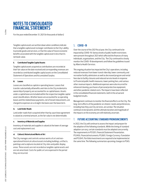For the year ended December 31, 2021 (in thousands of dollars)

Tangible capital assets are written down when conditions indicate that a tangible capital asset no longer contributes to the City's ability to provide goods and services, or that the value of future economic benefits associated with the tangible capital asset is less than its net book value.

#### **ii. Contributed Tangible Capital Assets**

Tangible capital assets acquired as contributions are recorded at their fair value on the date received and corresponding revenues are recorded as contributed tangible capital assets on the Consolidated Statement of Operations and Accumulated Surplus.

#### **iii. Leases**

Leases are classified as capital or operating leases. Leases that transfer substantially all benefits and risks to the City incidental to ownership of property are accounted for as capital leases. Assets under a capital lease are included within the respective tangible capital asset classifications. All other leases are accounted for as operating leases and the related lease payments, net of tenant inducements, are charged to expenses on a straight-line basis over the lease term.

#### **iv. Land Under Roads**

Land under roads that is acquired other than by a purchase agreement is valued at a nominal amount, as the fair value is not determinable.

#### **v. Inventory of Materials and Supplies**

Inventory of materials and supplies is valued at the lower of average cost and replacement cost.

#### **vi. Cultural, Historical and Works of Art**

The City manages and controls various works of art and nonoperational historical cultural assets including buildings, artifacts, paintings and sculptures located at City sites and public display areas. These assets are not recorded as tangible capital assets and are not amortized. Costs for public art are expensed in the period they are incurred.

## S. **COVID -19**

Over the course of the 2021 fiscal year, the City continued to be impacted by COVID-19. Various levels of public health restrictions were present throughout 2021 which affected the finances of many individuals, organizations, and the City. The City continued to closely monitor the COVID-19 developments and follow the guidelines issued by Alberta Health Services.

This ongoing situation has impacted the City's operations, including reduced revenues from lower transit ridership, lower community and recreation facility admissions as well as decreased program and rental fees due to facility closures and reduced service levels in response to Provincial public health measures, lower parking fees, and various other revenue impacts. Additional expenses were also incurred for enhanced cleaning, purchases of personal protective equipment, and other pandemic related costs. The impacts have been reflected in the consolidated financial statements, both in the actual and budgeted results.

Management continues to monitor the financial effects on the City. The long-term effects of the pandemic on citizens' needs and preferences, including how they use City services, are unclear. The situation continues to be dynamic and the ultimate duration and magnitude of the impacts on the economy are still relatively uncertain.

## T. **FUTURE ACCOUNTING STANDARD PRONOUNCEMENTS**

In 2022, the City will continue to assess the impact and prepare for the adoption of the following standards. While the timing of standard adoption can vary, certain standards must be adopted concurrently. The requirements in PS1201, Financial Statement Presentation, PS3450, Financial Instruments, PS2601, Foreign Currency Translation and PS3041, Portfolio Investments are required to be implemented at the same time. The following summarizes upcoming changes to PSAS.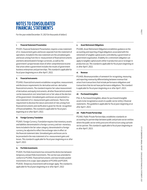For the year ended December 31, 2021 (in thousands of dollars)

#### **i. Financial Statement Presentation**

PS1201, Financial Statement Presentation, requires a new statement of re-measurement gains and losses separate from the statement of operations. Included in this new statement are the unrealized gains and losses arising from the re-measurement of financial instruments and items denominated in foreign currencies, as well as the government's proportionate share of other comprehensive income that arises when a government includes the results of government business enterprises and partnerships. This standard is applicable for fiscal years beginning on or after April 1, 2022.

#### **ii. Financial Instruments**

PS3450, Financial Instruments establishes recognition, measurement, and disclosure requirements for derivative and non-derivative financial instruments. The standard requires fair value measurement of derivatives and equity instruments; all other financial instruments can be measured at cost/amortized cost or fair value at the election of the government. Unrealized gains and losses are presented in a new statement of re-measurement gains and losses. There is the requirement to disclose the nature and extent of risks arising from financial instruments and clarification is given for the de-recognition of financial liabilities. This standard is applicable for fiscal years beginning on or after April 1, 2022.

#### **iii. Foreign Currency Translation**

PS2601, Foreign Currency Translation requires that monetary assets and liabilities denominated in a foreign currency and non-monetary items included in the fair value category, denominated in a foreign currency, be adjusted to reflect the exchange rates in effect at the financial statement date. Unrealized gains and losses are to be presented in the new statement of re-measurement gains and losses. This standard is applicable for fiscal years beginning on or after April 1, 2022.

#### **iv. Portfolio Investments**

PS3041, Portfolio Investments has removed the distinction between temporary and portfolio investments. This section was amended to conform to PS3450, Financial Instruments, and now includes pooled investments in its scope. Upon adoption of PS3450 and PS3041, PS3030, Temporary Investments will no longer apply. This standard is applicable for fiscal years beginning on or after April 1, 2022

#### **v. Asset Retirement Obligations**

PS3280, Asset Retirement Obligations establishes guidance on the accounting and reporting of legal obligations associated with the retirement of tangible capital assets controlled by a government or government organization. A liability for a retirement obligation can apply to tangible capital assets either in productive use or no longer in productive use. This standard is applicable for fiscal years beginning on or after April 1, 2022.

#### **vi. Revenue**

PS3400, Revenue provides a framework for recognizing, measuring and reporting revenue by differentiating between revenue that arises from transactions that include performance obligations and transactions that do not have performance obligations. This standard is applicable for fiscal years beginning on or after April 1, 2023.

#### **vii. Purchased Intangibles**

PSG-8, Purchased Intangibles, allows for purchased intangible assets to be recognized as assets in a public sector entity's financial statements. This guideline is applicable for fiscal years beginning on or after April 1, 2023.

#### **viii. Public Private Partnerships**

PS3160, Public Private Partnerships, establishes standards on accounting for partnerships between public and private sector entities where the public sector entity procures infrastructure using a private sector partner. This standard is applicable to fiscal years beginning on or after April 1, 2023.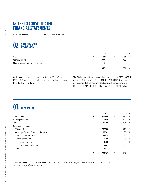For the year ended December 31, 2021 (in thousands of dollars)

# **CASH AND CASH EQUIVALENTS**

|                                                               | 2021                | 2020    |
|---------------------------------------------------------------|---------------------|---------|
| Cash                                                          | 35,067              | 38,696  |
| Cash equivalents<br>Cheques outstanding in excess of deposits | 444,828<br>(6, 636) | 492,344 |
|                                                               | 473.259             | 531,040 |

Cash equivalents have effective interest rates of 0.2 to 0.6 per cent (2020 – 0.2 to 2.0 per cent) and generally mature within ninety days from the date of purchase.

The City has access to an unsecured line of credit of up to \$250,000 CDN and \$10,000 USD (2020 - \$250,000 CDN and \$10,000 USD) to cover any bank overdrafts arising from day to day cash transactions. As of December 31, 2021, \$0 (2020 - \$0) was outstanding on the line of credit.

# **03 RECEIVABLES**

|                                            |    | 2021    |    | 2020    |
|--------------------------------------------|----|---------|----|---------|
| Trade and other                            | \$ | 207,696 | \$ | 184,889 |
| Local improvements                         |    | 119,986 |    | 120,470 |
| Taxes                                      |    | 81,260  |    | 104,760 |
| Government transfers:                      |    |         |    |         |
| P3 Canada Fund                             |    | 232,780 |    | 219,397 |
| Investing in Canada Infrastructure Program |    | 102,281 |    | 56,856  |
| Public Transit Infrastructure Fund         |    | 24,874  |    | 49,381  |
| Building Canada Fund                       |    | 9,250   |    | 28,172  |
| National Trade Corridor                    |    | 4,758   |    | 478     |
| Green Transit Incentives Program           |    | 2,461   |    | 22,257  |
| Other                                      |    | 3,823   |    | 552     |
|                                            | Ś  | 789,169 | Ś  | 787,212 |

Trade and other is net of allowance for doubtful accounts of \$3,835 (2020 - \$4,061). Taxes is net of allowance for doubtful accounts of \$6,076 (2020 - \$4,744).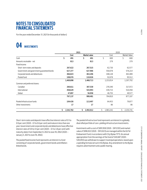For the year ended December 31, 2021 (in thousands of dollars)

# **04 INVESTMENTS**

|                                            |                 | 2021 |              | 2020            |                 |     |  |
|--------------------------------------------|-----------------|------|--------------|-----------------|-----------------|-----|--|
|                                            | Cost            |      | Market value | Cost            | Market Value    |     |  |
| Cash                                       | \$<br>491       | Ś    | 491          | Ś.<br>600       | Ś               | 600 |  |
| Amounts receivable - net                   | 813             |      | 813          | 279             |                 | 279 |  |
| Fixed income:                              |                 |      |              |                 |                 |     |  |
| Short-term notes and deposits              | 267,622         |      | 267,515      | 62,730          | 62,577          |     |  |
| Government and government guaranteed bonds | 627,377         |      | 627,966      | 550,078         | 576,214         |     |  |
| Corporate bonds and debentures             | 466,823         |      | 463,206      | 448,128         | 463,489         |     |  |
| Pooled fund                                | 108,076         |      | 110,026      | 92,078          | 95,512          |     |  |
|                                            | 1,469,898       |      | 1,468,713    | 1,153,014       | 1,197,792       |     |  |
| Common and preferred shares:               |                 |      |              |                 |                 |     |  |
| Canadian                                   | 260,611         |      | 307,530      | 278,340         | 317,072         |     |  |
| International                              | 458,629         |      | 543,993      | 439,715         | 510,458         |     |  |
| Global                                     | 47,897          |      | 56,958       | 46,755          | 49,577          |     |  |
|                                            | 767,137         |      | 908,481      | 764,810         | 877,107         |     |  |
| Pooled infrastructure funds                | 104,426         |      | 113,497      | 64,453          | 79,877          |     |  |
| Other investments                          | 17              |      | 17           | 86              |                 | 86  |  |
|                                            | \$<br>2,342,782 | \$   | 2,492,012    | \$<br>1,983,242 | \$<br>2,155,741 |     |  |

Short-term notes and deposits have effective interest rates of 0.1 to 0.9 per cent (2020 - 0.1 to 0.6 per cent) and mature in less than one year. Government and corporate bonds and debentures have effective interest rates of 0.9 to 4.1 per cent (2020 – 0.1 to 3.8 per cent) with maturity dates from September 8, 2022 to June 18, 2062 (2020 – January 5, 2021 to June 18, 2062).

The pooled fixed income fund represents an interest in a fund consisting of corporate bonds, government bonds and inflationlinked bonds.

The pooled infrastructure fund represents an interest in a globally diversified portfolio of core-yielding infrastructure investments.

Investments with a cost of \$891,958 (2020 - \$813,103) and market value of \$996,922 (2020 - \$912,823) are managed within the Ed Tel Endowment Fund, in accordance with City Bylaw 11713. An annual appropriation from the earnings of the fund of \$40,687 (2020 - \$40,093) was withdrawn to support municipal operations, based upon a spending formula set out in the Bylaw. Any amendment to the Bylaw requires advertisement and a public hearing.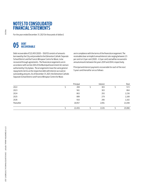For the year ended December 31, 2021 (in thousands of dollars)

# **DEBT 05 RECOVERABLE**

Debt recoverable of \$22,455 (2020 – \$9,813) consists of amounts borrowed by the City and provided to the Edmonton Catholic Separate School District and the Francis Winspear Centre for Music, to be recovered through agreements. The financial arrangements are in accordance with section 264 of the Municipal Government Act and are authorized by City bylaws. The arrangements have the same general repayments terms as the respective debt with interest accrued on outstanding amounts. As of December 31, 2021, the Edmonton Catholic Separate School District and Francis Winspear Centre for Music

are in compliance with the terms of the financial arrangement. The receivables bear an implicit annual interest rate ranging between 2.5 per cent to 4.3 per cent (2020 - 4.3 per cent) and will be recovered in annual amounts between the years 2041 and 2044, respectively.

Principal and interest payments recoverable for each of the next 5 years and thereafter are as follows:

|            | Principal | Interest | Total  |
|------------|-----------|----------|--------|
| 2022       | 269       | 303      | 572    |
| 2023       | 561       | 303      | 864    |
| 2024       | 863       | 293      | 1,156  |
| 2025       | 889       | 279      | 1,168  |
| 2026       | 916       | 266      | 1,182  |
| Thereafter | 18,957    | 2,091    | 21,048 |
|            | 22,455    | 3,535    | 25,990 |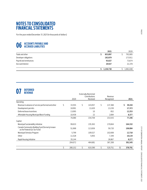For the year ended December 31, 2021 (in thousands of dollars)

# **06 ACCOUNTS PAYABLE AND ACCRUED LIABILITIES**

|                         | 2021      | 2020      |
|-------------------------|-----------|-----------|
| Trade and other         | 853,897   | 792,085   |
| Developer obligations   | 182,879   | 173,911   |
| Payroll and remittances | 93,027    | 73,674    |
| Accrued interest        | 20.927    | 21,378    |
|                         | 1,150,730 | 1,061,048 |

# **DEFERRED 07 REVENUE**

|    |         |      |         |                                                           |         |                       | 2021         |
|----|---------|------|---------|-----------------------------------------------------------|---------|-----------------------|--------------|
|    |         |      |         |                                                           |         |                       |              |
| \$ | 33,555  | \$   | 143,057 | \$                                                        | 137,368 |                       | Ś.<br>39,244 |
|    | 18,991  |      | 11,620  |                                                           | 13,239  |                       | 17,372       |
|    | 13,095  |      | 10      |                                                           | 852     |                       | 12,253       |
|    | 10,439  |      | 22      |                                                           | 2,084   |                       | 8,377        |
|    | 76,080  |      | 154,709 |                                                           | 153,543 |                       | 77,246       |
|    |         |      |         |                                                           |         |                       |              |
|    | 99,633  |      | 235,363 |                                                           | 170,664 |                       | 164,332      |
|    | 51,968  |      | 113,836 |                                                           | 59,720  |                       | 106,084      |
|    | 5,799   |      | 109,527 |                                                           | 102,608 |                       | 12,718       |
|    | 11,528  |      | 5,955   |                                                           | 7,349   |                       | 10,134       |
|    | 35,144  |      |         |                                                           | 26,867  |                       | 8,277        |
|    | 204,072 |      | 464,681 |                                                           | 367,208 |                       | 301,545      |
| Ś  | 280,152 | Ś.   | 619,390 | Ś.                                                        | 520.751 | \$                    | 378,791      |
|    |         | 2020 |         | <b>Externally Restricted</b><br>Contributions<br>Received |         | Revenue<br>Recognized |              |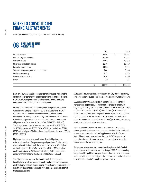For the year ended December 31, 2021 (in thousands of dollars)

# **O8** *BMPLOYEE BENEFIT*

|                                          |   | 2021    |   | 2020    |
|------------------------------------------|---|---------|---|---------|
| Accrued vacation                         | э | 93,961  | Ś | 88,382  |
| Post-employment benefits                 |   | 50,160  |   | 52,483  |
| Banked overtime                          |   | 15,024  |   | 13,672  |
| Major medical and dental plans           |   | 13,407  |   | 16,419  |
| Group life insurance plan                |   | 11,155  |   | 9,194   |
| Supplementary management retirement plan |   | 7,089   |   | 8,548   |
| Health care spending                     |   | 3,122   |   | 3,378   |
| Income replacement plan                  |   | 1,163   |   | 1,400   |
| Other                                    |   | 716     |   | 585     |
|                                          |   | 195.797 |   | 194.061 |

Post-employment benefits represent the City's cost, including the continuation of benefits for employees on long-term disability, and the City's share of pensioners' eligible medical, dental and other obligations until pensioners reach the age of 65.

In order to measure the post-employment obligation, an actuarial valuation was completed by Aon Hewitt as at December 31, 2021 regarding the continuation of benefit coverage while eligible employees are on long-term disability. The discount rate used in the valuation is 1.5 per cent (2020 – 1.5 per cent). The accrued benefit obligation as at December 31, 2021 is \$46,642 (2020 - \$42,247). The change is comprised of current service cost of \$8,858 (2020 - \$8,968), interest cost of \$772 (2020 - \$1,112), actuarial loss of \$796 (2020 actuarial gain - \$242) and benefits paid during the year of \$6,031  $(2020 - 56, 221)$ .

Eligible post-employment medical and dental obligations are estimated based on a five year average of pensioners' claim costs in excess of contributions until the pensioners reach age 65. Eligible medical obligations for 2021 were \$1,004 (2020 - \$1,176). Eligible dental obligations for 2021 were \$331 (2020 - \$289). Other postemployment benefits for 2021 were \$2,183 (2020 - \$8,770).

The City sponsors major medical, dental and other employee benefit plans, which are funded through employee and/or employer contributions. Premium contributions, interest earnings, payments for benefit entitlements and administrative costs are applied to each of the respective plans.

A Group Life Insurance Plan is provided by the City, funded equally by employer and employees. The Plan is administered by Great West Life.

A Supplementary Management Retirement Plan for designated management employees was implemented effective for service beginning January 1, 2003. The accrued benefit liability for total current and past service costs of \$7,089 (2020 - \$8,548) has been based upon an actuarial valuation completed by Aon Hewitt as at December 31, 2021. Unamortized net loss of \$416 (2020 loss - \$1,035) will be amortized over the fourteen (2020 – thirteen) year average remaining service period of active plan participants.

All permanent employees are entitled to a health care spending account providing reimbursement up to established limits for eligible expenses not covered under the Supplementary Health Care and Dental Plans. An estimate has been included in 2021 expenses of amounts not used in the current year that are eligible to be carried forward under the terms of the plan.

The income replacement plan was a disability plan partially funded by employees, which was discontinued in April 1991. The outstanding obligation will be paid to employees in accordance with the terms and conditions of the plan. The obligation is based on an actuarial valuation as at December 31, 2021, completed by Aon Hewitt.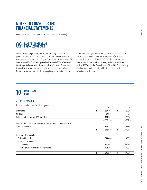For the year ended December 31, 2021 (in thousands of dollars)

# **Q9** LANDFILL CLOSURE AND POST-CLOSURE CARE

Under Provincial legislation, the City has a liability for closure and post-closure care costs for its landfill sites. The Clover Bar landfill site was closed to the public in August 2009. The City used the landfill internally until 2018 and anticipates final closure in 2024, after which time the post closure period is expected to be 25 years. The costs to maintain a closed solid waste landfill site are based on estimated future expenses in current dollars by applying a discount rate at the

City's average long-term borrowing rate of 3.5 per cent (2020 – 3.5 per cent) and inflation rate of 2.1 per cent (2020 – 2.0 per cent). An amount of \$45,560 (2020 - \$40,408) has been accrued and Waste Services currently maintains restricted cash of \$22,200 for the Clover Bar landfill liability. The remaining required funds for this liability will be funded through the collection of utility rates.

# **LONG-TERM 10 DEBT**

## A. **DEBT PAYABLE**

Debt payable includes the following amounts:

|                                                                            | 2021            |    | 2020      |
|----------------------------------------------------------------------------|-----------------|----|-----------|
| <b>Debentures</b>                                                          | \$<br>3,554,705 | \$ | 3,523,655 |
| Mortgages                                                                  | 24,048          |    | 5,275     |
| Public-private partnership (P3) term debt                                  | 491,165         |    | 433,832   |
|                                                                            | 4,069,918       |    | 3,962,762 |
| Less debt attributed to and secured by offsetting amounts receivable from: |                 |    |           |
| EPCOR Utilities Inc.                                                       | 523,348         |    | 555,617   |
|                                                                            | 3,546,570       | Ś  | 3,407,145 |
| Long-term debt comprises:                                                  |                 |    |           |
| Self-liquidating debt                                                      | 514,408         |    | 456,270   |
| Tax-supported debt:                                                        |                 |    |           |
| Debenture debt                                                             | 2,540,997       |    | 2,517,043 |
| Public-private partnership (P3) term debt                                  | 491,165         |    | 433,832   |
|                                                                            | 3,546,570       |    | 3,407,145 |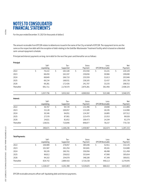For the year ended December 31, 2021 (in thousands of dollars)

The amount receivable from EPCOR relates to debentures issued in the name of the City on behalf of EPCOR. The repayment terms are the same as the respective debt with the exception of debt relating to the Gold Bar Wastewater Treatment Facility which is based on a blended semi-annual repayment schedule.

Principal and interest payments on long-term debt for the next five years and thereafter are as follows:

| Principal:             |                      |         |                      |         |                  |                                  |                 |
|------------------------|----------------------|---------|----------------------|---------|------------------|----------------------------------|-----------------|
|                        | Self-<br>Liquidating |         | $Tax -$<br>Supported |         | Gross<br>Payment | Less:<br><b>EPCOR Receivable</b> | Net<br>Payment  |
| 2022                   | \$<br>70,222         | \$      | 183,328              | \$      | 253,550          | \$<br>33,221                     | \$<br>220,329   |
| 2023                   | 68,459               |         | 162,197              |         | 230,656          | 30,966                           | 199,690         |
| 2024                   | 68,849               |         | 166,710              |         | 235,559          | 31,613                           | 203,946         |
| 2025                   | 69,234               |         | 168,931              |         | 238,165          | 32,437                           | 205,728         |
| 2026                   | 69,281               |         | 172,426              |         | 241,707          | 33,155                           | 208,552         |
| Thereafter             | 691,711              |         | 2,178,570            |         | 2,870,281        | 361,956                          | 2,508,325       |
|                        | \$<br>1,037,756      | $\zeta$ | 3,032,162            | \$      | 4,069,918        | \$<br>523,348                    | \$<br>3,546,570 |
| Interest:              |                      |         |                      |         |                  |                                  |                 |
|                        | Self-<br>Liquidating |         | $Tax -$<br>Supported |         | Gross<br>Payment | Less:<br><b>EPCOR Receivable</b> | Net<br>Payment  |
| 2022                   | \$<br>36,767         | \$      | 94,729               | \$      | 131,496          | \$<br>19,690                     | \$<br>111,806   |
| 2023                   | 33,128               |         | 100,057              |         | 133,185          | 18,195                           | 114,990         |
| 2024                   | 30,346               |         | 94,051               |         | 124,397          | 16,885                           | 107,512         |
| 2025                   | 27,578               |         | 87,901               |         | 115,479          | 15,553                           | 99,926          |
| 2026                   | 24,821               |         | 81,652               |         | 106,473          | 14,194                           | 92,279          |
| Thereafter             | 138,031              |         | 710,846              |         | 848,877          | 78,157                           | 770,720         |
|                        | \$<br>290,671        | \$      | 1,169,236            | $\zeta$ | 1,459,907        | \$<br>162,674                    | \$<br>1,297,233 |
| <b>Total Payments:</b> |                      |         |                      |         |                  |                                  |                 |
|                        | Self-<br>Liquidating |         | $Tax -$<br>Supported |         | Gross<br>Payment | Less:<br><b>EPCOR Receivable</b> | Net<br>Payment  |
| 2022                   | \$<br>106,989        | \$      | 278,057              | \$      | 385,046          | \$<br>52,911                     | \$<br>332,135   |
| 2023                   | 101,587              |         | 262,254              |         | 363,841          | 49,161                           | 314,680         |
| 2024                   | 99,195               |         | 260,761              |         | 359,956          | 48,498                           | 311,458         |

|            | Liyuludulik | Juppor teu | ו מעווכות | LI CUIVINCUCIVADIC | ⊦ ayıncın. |
|------------|-------------|------------|-----------|--------------------|------------|
| 2022       | 106.989     | 278,057    | 385,046   | 52,911             | 332,135    |
| 2023       | 101.587     | 262,254    | 363,841   | 49,161             | 314,680    |
| 2024       | 99.195      | 260,761    | 359,956   | 48,498             | 311,458    |
| 2025       | 96.812      | 256,832    | 353.644   | 47,990             | 305,654    |
| 2026       | 94.102      | 254.078    | 348.180   | 47,349             | 300,831    |
| Thereafter | 829.742     | 2.889.416  | 3,719,158 | 440.113            | 3,279,045  |
|            | 1,328,427   | 4,201,398  | 5,529,825 | 686.022            | 4,843,803  |
|            |             |            |           |                    |            |

EPCOR receivable amounts offset self-liquidating debt and interest payments.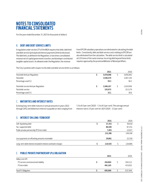For the year ended December 31, 2021 (in thousands of dollars)

## B. **DEBT AND DEBT SERVICE LIMITS**

A regulation under section 271 of the MGA requires that debt, debt limit and debt service (principal and interest payments) limit be disclosed. The debt limit, as defined in the Regulation, is two times consolidated revenue net of capital government transfers and developer contributed tangible capital assets. As allowed under the Regulation, the revenue

from EPCOR subsidiary operations are eliminated in calculating the debt limits. Consistently, debt and debt service costs relating to EPCOR are also eliminated from the calculation. The debt service limit is calculated at 0.35 times of the same revenue. Incurring debt beyond these limits requires approval by the provincial Minister of Municipal Affairs.

The City's position with respect to the debt and debt service limits is as follows:

|                                         | 2021      | 2020      |
|-----------------------------------------|-----------|-----------|
| Total debt limit per Regulation         | 5,978,098 | 5,856,892 |
| Total debt                              | 3,546,570 | 3,407,145 |
| Percentage used (%)                     | 59.3      | 58.2      |
| Total debt service limit per Regulation | 1,046,167 | 1,024,956 |
| Total debt service                      | 335,975   | 313,179   |
| Percentage used (%)                     | 32.1      | 30.6      |

## C. **MATURITIES AND INTEREST RATES**

Existing long-term debt matures in annual amounts in years 2022 through 2052 and debenture interest is payable at rates ranging from 1.3 to 8.5 per cent (2020 - 1.3 to 8.5 per cent). The average annual interest rate is 3.5 per cent for 2021 (2020 - 3.5 per cent).

## D. **INTEREST ON LONG-TERM DEBT**

|                                                               | 2021    | 2020    |
|---------------------------------------------------------------|---------|---------|
| Self-liquidating debt                                         | 37,353  | 39,018  |
| Tax-supported debt                                            | 86,440  | 87,151  |
| Public private partnership (P3) term debt                     | 7.493   | 23,027  |
|                                                               | 131,286 | 149,196 |
| Less payments on offsetting amounts receivable                | 20.861  | 22,330  |
| Long-term debt interest included in interest and bank charges | 110.425 | 126,866 |

## E. **PUBLIC PRIVATE PARTNERSHIP (P3) OBLIGATION**

|                                   | 2021    | 2020    |
|-----------------------------------|---------|---------|
| Valley Line LRT:                  |         |         |
| P3 service commencement liability | 204.804 | 204,112 |
| P3 term debt                      | 491.165 | 433,832 |
| Total P3 Obligation               | 695.969 | 637.944 |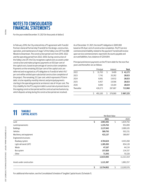For the year ended December 31, 2021 (in thousands of dollars)

In February 2016, the City entered into a P3 agreement with TransEd Partners General Partnership (TransEd) for the design, construction, operation, and maintenance of stage 1 of the Valley Line LRT from Mill Woods to Downtown. The construction period runs from 2016-2022 and the operating period from 2022-2050. During construction of the Valley Line LRT, the City recognizes capital costs as assets under construction and makes progress payments on 50.0 per cent of the capital costs, based on percentage of construction completion. Payments on the remaining 50.0 per cent of the capital costs are deferred and recognized as a P3 obligation to TransEd of which 16.7 per cent will be settled upon substantial construction completion of the project. The remaining 33.3 per cent, which represents P3 term debt, is to be repaid by monthly interest and principal payments starting in the operating period at an interest rate of 4.4 per cent. The City's liability for the P3 Long term debt is uncertain at present due to the ongoing construction period and the contractual mechanisms by which disputes arising during the construction period are resolved.

As of December 31, 2021, the total P3 obligation is \$695,969 based on 95.8 per cent of construction completion. The P3 service commencement liability related to the payment TransEd will receive upon service commencement, reported in Accounts payable and accrued liabilities, has a balance of \$204,804.

Principal and interest payments on the P3 term debt for the next five years and thereafter are as follows:

|            |   | Principal |   | Interest | Total        |
|------------|---|-----------|---|----------|--------------|
| 2022       | S | 31,763    | S | 9.409    | 41,172<br>S. |
| 2023       |   | 7,741     |   | 20,282   | 28,023       |
| 2024       |   | 8,091     |   | 19,932   | 28,023       |
| 2025       |   | 8,457     |   | 19,566   | 28,023       |
| 2026       |   | 8.840     |   | 19.184   | 28,024       |
| Thereafter |   | 426,273   |   | 287,687  | 713,960      |
|            |   |           |   |          |              |
|            | ς | 491.165   | ς | 376,060  | \$867,225    |

| <b>TANGIBLE</b><br>11<br><b>CAPITAL ASSETS</b> | Net Book Value |            |    |            |  |
|------------------------------------------------|----------------|------------|----|------------|--|
|                                                |                |            |    |            |  |
|                                                |                | 2021       |    | 2020       |  |
| Land                                           | \$             | 2,003,392  | \$ | 1,834,792  |  |
| Land improvements                              |                | 1,155,763  |    | 951,899    |  |
| <b>Buildings</b>                               |                | 2,137,043  |    | 2,089,105  |  |
| Vehicles                                       |                | 589,793    |    | 502,231    |  |
| Machinery and equipment                        |                | 421,137    |    | 389,097    |  |
| Engineered structures:                         |                |            |    |            |  |
| Roadway system                                 |                | 4,764,624  |    | 4,443,268  |  |
| Light rail transit (LRT)                       |                | 1,285,283  |    | 854,128    |  |
| Waste                                          |                | 47,167     |    | 44,134     |  |
| Bus system                                     |                | 157,820    |    | 134,337    |  |
| Other                                          |                | 71,543     |    | 70,328     |  |
|                                                |                | 12,633,565 |    | 11,313,319 |  |
| Assets under construction                      |                | 1,121,387  |    | 1,882,257  |  |
|                                                | \$             | 13,754,952 | \$ | 13,195,576 |  |

For additional information, see the Consolidated Schedule of Tangible Capital Assets (Schedule 1).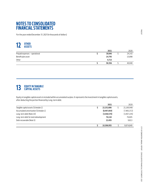For the year ended December 31, 2021 (in thousands of dollars)

# **OTHER 12 ASSETS**

|                                | 2021   | 2020   |
|--------------------------------|--------|--------|
| Prepaid expenses - operational | 30.846 | 24,142 |
| Benefit plan asset             | 14,795 | 15,898 |
| Other                          | 4.715  |        |
|                                | 50.356 | 40,040 |

# **13 EQUITY IN TANGIBLE**

Equity in tangible capital assets is included within accumulated surplus. It represents the investment in tangible capital assets, after deducting the portion financed by Long-term debt.

|                                       | 2021          | 2020        |
|---------------------------------------|---------------|-------------|
| Tangible capital assets (Schedule 1)  | 22.252.806    | 21,160,948  |
| Accumulated amortization (Schedule 1) | (8, 497, 854) | (7,965,372) |
| Long-term debt (Note 10)              | (3,546,570)   | (3,407,145) |
| Long-term debt for land redevelopment | 76.118        | 76,605      |
| Debt recoverable (Note 5)             | 22.455        | 9.813       |
|                                       | 10.306.955    | 9.874.849   |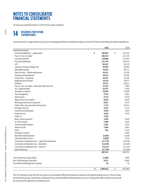For the year ended December 31, 2021 (in thousands of dollars)

# **RESERVES FOR FUTURE 14 EXPENDITURES**

Certain amounts, as approved by City Council, are designated within accumulated surplus as reserves for future operating and capital expenditures.

|                                                       | 2021            | 2020          |
|-------------------------------------------------------|-----------------|---------------|
| General Government:                                   |                 |               |
| Financial stabilization - appropriated                | \$<br>180,952   | \$<br>213,320 |
| Pay-As-You-Go capital                                 | 180,143         | 122,725       |
| Local improvement                                     | 138,880         | 137,940       |
| Financial stabilization                               | 121,746         | 129,015       |
| LRT                                                   | 86,567          | 56,110        |
| Sanitary servicing strategy fund                      | 56,009          | 56,584        |
| Affordable housing                                    | 55,834          | 49,731        |
| Fleet services - vehicle replacement                  | 36,411          | 25,249        |
| Planning and development                              | 29,512          | 16,558        |
| Funds in lieu - residential                           | 29,447          | 21,936        |
| Neighbourhood renewal                                 | 19,579          | 18,477        |
| Parkland                                              | 19,572          | 18,613        |
| Pay-As-You-Go capital - Edmonton Police Services      | 17,422          | 7,009         |
| Tax-supported debt                                    | 16,707          | 5,456         |
| Developer recoveries                                  | 10,959          | 11,848        |
| Tree management                                       | 9,793           | 9,463         |
| Natural areas                                         | 8,710           | 8,750         |
| Rogers Place Arena capital                            | 8,665           | 6,954         |
| Revolving industrial servicing fund                   | 8,631           | 2,535         |
| Traffic safety and automated enforcement              | 7,375           | 20,347        |
| Heritage resources                                    | 5,032           | 3,724         |
| Commercial revitalization                             | 4,830           | 1.594         |
| Perpetual care                                        | 4,650           | 3,555         |
| Public art                                            | 3,420           |               |
| Motor vehicle insurance                               | 2,500           | 2,500         |
| St. Francis Xavier                                    | 2,488           | 2,245         |
| Commonwealth Stadium                                  | 1,991           | 1,876         |
| Vehicle for hire                                      | 1,966           | 2,465         |
| Other                                                 | 902             | 1,424         |
| Developer incentive                                   |                 | 1,999         |
| Brownfield redevelopment                              | (2,850)         | (2,329)       |
| <b>Edmonton Police Service</b>                        | (2,895)         | 7,034         |
| Community revitalization levy - Capital City Downtown | (11, 770)       | (13,839)      |
| Community revitalization levy - Belvedere             | (14, 205)       | (11, 025)     |
| Community revitalization levy - Quarters              | (14,211)        | (12,214)      |
| Interim financing                                     | (37, 749)       | (37, 838)     |
|                                                       | 987,013         | 889,791       |
| City of Edmonton Library Board                        | 12,488          | 6,968         |
| Non-Profit Housing Corporation                        | 6,511           | 6,680         |
| Fort Edmonton Management Company                      | 30              | 30            |
|                                                       | \$<br>1.006.042 | \$<br>903.469 |

The City maintains reserves that are used to accommodate differences between expenses and related funding sources. These include the Interim financing, Community revitalization levy and Brownfield redevelopment reserves. Existing shortfalls in these reserves will be recovered through future funding sources.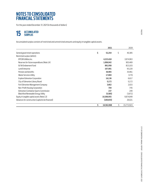For the year ended December 31, 2021 (in thousands of dollars)

# **15 ACCUMULATED**

Accumulated surplus consists of restricted and unrestricted amounts and equity in tangible capital assets.

|                                                    | 2021             | 2020             |
|----------------------------------------------------|------------------|------------------|
| General government operations                      | \$<br>52,254     | \$<br>40,385     |
| Restricted surplus (deficit):                      |                  |                  |
| <b>EPCOR Utilities Inc.</b>                        | 4,223,418        | 3,974,963        |
| Reserves for future expenditures (Note 14)         | 1,006,042        | 903,469          |
| Ed Tel Endowment Fund                              | 891,958          | 813,103          |
| Land Enterprise                                    | 107,001          | 93,220           |
| Pension and benefits                               | 36,965           | 35,961           |
| Waste Services Utility                             | 17,804           | (175)            |
| <b>Explore Edmonton Corporation</b>                | 16,136           | 6,617            |
| City of Edmonton Library Board                     | 5,172            | 5,172            |
| Fort Edmonton Management Company                   | 3,662            | 2,015            |
| Non-Profit Housing Corporation                     | 704              | 745              |
| Edmonton Combative Sports Commission               | 237              | 249              |
| Blatchford Renewable Energy Utility                | (5,585)          | (3,671)          |
| Equity in tangible capital assets (Note 13)        | 10,306,955       | 9,874,849        |
| Advances for construction (capital to be financed) | (100, 655)       | 26,021           |
|                                                    | \$<br>16,562,068 | \$<br>15,772,923 |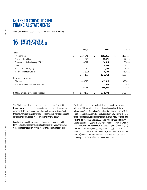For the year ended December 31, 2021 (in thousands of dollars)

# **NET TAXES AVAILABLE 16 FOR MUNICIPAL PURPOSES**

|                                            | <b>Budget</b>   | 2021            |    | 2020      |
|--------------------------------------------|-----------------|-----------------|----|-----------|
| Taxes:                                     |                 |                 |    |           |
| Property taxes                             | \$<br>2.186.341 | \$<br>2,183,866 | \$ | 2,167,812 |
| Revenue in lieu of taxes                   | 24.925          | 22,971          |    | 22,368    |
| Community revitalization levy ("CRL")      | 34,512          | 34,614          |    | 36,474    |
| Other                                      | 4.000           | 8,494           |    | 8,878     |
| Special $tax$ – alley lighting             | 910             | 1,362           |    | 1,107     |
| Tax appeals and allowances                 | (16,500)        | (8,593)         |    | (10, 911) |
|                                            | 2,234,188       | 2,242,714       |    | 2,225,728 |
| Less taxes on behalf of:                   |                 |                 |    |           |
| Education                                  | 496.018         | 493.416         |    | 495.499   |
| Business Improvement Areas and other       |                 | 3,524           |    | 4,009     |
|                                            | 496,018         | 496,940         |    | 499,508   |
| Net taxes available for municipal purposes | \$<br>1,738,170 | \$<br>1,745,774 | Ś  | 1,726,220 |

The City is required to levy taxes under section 353 of the MGA towards payment of education requisitions. Education tax revenues are recorded at the amounts levied. Actual taxes levied over/under the amount requisitioned are recorded as an adjustment to Accounts payable and accrued liabilities - Trade and other (Note 6).

Local improvement levies are not included in net taxes available for municipal purposes and are reflected separately in Other in the Consolidated Statement of Operations and Accumulated Surplus.

Provincial education taxes collected on incremental tax revenue within the CRL are retained to offset development costs in the related area. As at December 31, 2021 the City has three active CRL areas: the Quarters, Belvedere and Capital City Downtown. The CRL taxes collected include property taxes, revenue in lieu of taxes, and other taxes. In 2021, \$4,429 (2020 - \$4,914) incremental tax levy was collected in the Quarters CRL, including \$983 (2020 - \$1,028) in education taxes. The Belvedere CRL collected \$1,174 (2020 - \$1,133) in incremental tax levy during the year, including \$240 (2020 - \$205) in education taxes. The Capital City Downtown CRL collected \$29,011 (2020 - \$30,427) in incremental tax levy during the year, including \$7,163 (2020 - \$7,590) in education taxes.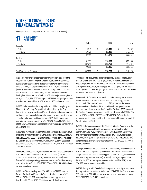For the year ended December 31, 2021 (in thousands of dollars)

# **GOVERNMENT 17 TRANSFERS**

| . .<br>I INANJI LINJ              |               |              |         |
|-----------------------------------|---------------|--------------|---------|
|                                   | <b>Budget</b> | 2021         | 2020    |
| Operating:                        |               |              |         |
| Federal                           | \$<br>44,645  | \$<br>61,449 | 45,282  |
| Provincial                        | 62,870        | 83,430       | 232,172 |
|                                   | 107,515       | 144,879      | 277,454 |
| Capital:                          |               |              |         |
| Federal                           | 161,853       | 110,654      | 211,285 |
| Provincial                        | 337,798       | 302,751      | 354,231 |
|                                   | 499,651       | 413,405      | 565,516 |
| <b>Total Government Transfers</b> | 607,166       | 558,284      | 842,970 |

In 2011, the Minister of Transportation approved initial projects under the Green Transit Incentives Program (Green TRIP) to support the provincial public transportation initiatives that contribute towards environmental benefits. In 2021, the City received \$10,199 (2020 - \$21,437), net of \$462 (2020 - \$253) received on behalf of regional transit partners and earned interest of \$34 (2020 - \$137). In 2021, the City transferred Green TRIP funding from Metro Line to the Stadium LRT Station project resulting in a net recognition of (\$9,563) (2020 - recognition of \$14,104) as capital government transfers and a receivable of \$2,461 (2020- \$22,257) has been recorded.

In 2008, the Province introduced a grant for Affordable Housing Program Municipal Block Funding. The grant is administered through the City's Cornerstone program to assist qualified applicants to purchase or renovate existing rental accommodation units, to construct new units and to develop secondary suites and transitional housing. In 2021, the City recognized operating government transfers of \$2,084 (2020 - \$3,512). In 2021, \$8,377 (2020 - \$10,439) has been recorded as deferred revenue and earned interest of \$22 (2020 - \$114).

In 2007, the Province introduced the Municipal Sustainability Initiative (MSI) program to provide municipalities with sustainable funding. In 2021, the City received \$235,053 (2020 - \$191,908) from the Province, earned interest of \$310 (2020 - \$1,318) and recorded \$170,664 (2020 - \$266,067) as capital government transfers. In 2021, the City recorded \$164,332 (2020 - \$99,633) as deferred revenue.

Under the Canada Community Building Fund, formerly known as the Federal Gas Tax Fund, the City received \$113,836 (2020 - \$55,613), and recognized \$16,115 (2020 - \$23,352) as capital government transfers and \$43,605 (2020 - \$43,605) as operating government transfers, to fund debt servicing costs related to the South LRT. In 2021, \$106,084 (2020 - \$51,968) has been recorded as deferred revenue.

In 2021, the City received a grant of \$26,046 (2020 - \$24,185) from the Province for Family and Community Support Services funding. In 2021, \$22,325 (2020- \$22,325) was recognized as operating government transfers, while \$5,581 (2020 - \$1,860) was recorded as deferred revenue. Through the Building Canada Fund, an agreement was signed for the Valley Line LRT expansion in 2017. In 2018, agreements for the Fort Edmonton Park Expansion project, and the Yellowhead Trail Freeway Conversion Project were also signed. In 2021, the City received \$35,396 (2020 - \$44,880) and recorded \$16,474 (2020 - \$58,810) as capital government transfers. A receivable has been recorded for \$9,250 (2020 - \$28,172).

Under the Public Transit Infrastructure Fund, the Province agrees to provide on behalf of itself and the Federal Government a cost-sharing grant which is comprised of the Province's contribution of 25 per cent and the Federal Government's contribution of 50 per cent of the eligible expenditures. An agreement was signed between the City and the Province in 2017 to support the funding of improved and expanded public transit systems. In 2021, the City received \$25,854 (2020 – \$70,156), and \$1,347 (2020 - \$49,042) has been recorded as capital government transfers and a receivable has been recorded of \$24,874 (2020 - \$49,381).

In 2020, the Province commenced the Municipal Stimulus Program to sustain and create local jobs and position communities to participate in future economic growth. In 2021, the City received \$109,450 (2020 - \$6,117) from the Province and earned interest of \$77 (2020 - \$0). The City recognized \$93,008 (2020 - \$318) as capital government transfers, \$9,600 (2020 - \$0) as operating government transfers and recorded \$12,718 (2020 - \$5,799) as deferred revenue.

Through the Investing In Canada Infrastructure Program, the governments of Canada and Alberta signed an agreement to provide funds to build inclusive and prosperous communities while supporting a low carbon, green economy. In 2021, the City received \$26,491 (2020 - \$0). The City recognized \$71,916 (2020 - \$56,856) as capital government transfers and \$102,281 (2020 - \$56,856) was recorded as receivable.

In 2016, through the P3 Canada Fund, an agreement was signed to provide funding for the construction of Valley Line LRT. In 2021, the City recognized \$13,383 (2020 - \$76,049) as capital government transfers and has recorded \$232,780 (2020 - \$219,397) as receivable.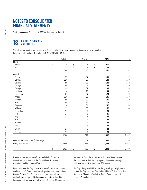For the year ended December 31, 2021 (in thousands of dollars)

# **18 EXECUTIVE SALARIES**

The following executive salaries and benefits are disclosed as required under the Supplementary Accounting Principles and Standards Regulation (AR 313/2000) of the MGA.

|                                             |                         | Salaries | Benefits       | 2021        | 2020        |
|---------------------------------------------|-------------------------|----------|----------------|-------------|-------------|
| Mayor:                                      |                         |          |                |             |             |
| Iveson                                      | \$                      | 175      | \$<br>95       | \$<br>270   | \$<br>251   |
| Sohi                                        | $\overline{\mathsf{S}}$ | 31       | \$<br>8        | \$<br>39    |             |
|                                             |                         | 206      | 45             | 251         | 251         |
| Councillors:                                |                         |          |                |             |             |
| Banga                                       |                         | 99       | 57             | 156         | 142         |
| Cartmell                                    |                         | 116      | 27             | 143         | 139         |
| Caterina                                    |                         | 99       | 23             | 122         | 142         |
| Dziadyk                                     |                         | 99       | 26             | 125         | 139         |
| Esslinger                                   |                         | 99       | 39             | 138         | 143         |
| Hamilton                                    |                         | 116      | 28             | 144         | 141         |
| Henderson                                   |                         | 87       | 37             | 124         | 140         |
| Knack                                       |                         | 116      | 29             | 145         | 143         |
| McKeen                                      |                         | 99       | 32             | 131         | 140         |
| Nickel                                      |                         | 99       | 77             | 176         | 142         |
| Paquette                                    |                         | 116      | 31             | 147         | 143         |
| Walters                                     |                         | 99       | 63             | 162         | 143         |
| Rutherford                                  |                         | 17       | 6              | 23          |             |
| Rice                                        |                         | 17       | 8              | 25          |             |
| Tang                                        |                         | $17$     | 5              | 22          |             |
| Salvador                                    |                         | 17       | $\overline{7}$ | 24          |             |
| Stevenson                                   |                         | 17       | 9              | 26          |             |
| Janz                                        |                         | 17       | 5              | 22          |             |
| Wright                                      |                         | 17       | $\overline{7}$ | 24          |             |
| Principe                                    |                         | 17       | 6              | 23          |             |
|                                             |                         | 1,380    | 522            | 1,902       | 1,697       |
| Chief Administrative Officer (City Manager) |                         | 337      | 29             | 366         | 355         |
| Designated Officers                         |                         | 1,690    | 135            | 1,825       | 1,087       |
|                                             | $\mathsf{S}$            | 3,613    | \$<br>789      | \$<br>4,402 | \$<br>3,390 |

Executive salaries and benefits are included in Corporate administration expenses in the Consolidated Statement of Operations and Accumulated Surplus.

Members of Council are provided with a transition allowance, upon the conclusion of their service, equal to three weeks salary for each year served, to a maximum of 36 weeks.

Benefits include the City's share of all benefits and contributions made on behalf of executives, including retirement contributions, Canada Pension Plan, Employment Insurance, dental coverage, medical coverage, group life insurance, short-term disability insurance and transportation allowances. The City of Edmonton

The City's designated officers are designated by City bylaws and include the City Assessor, City Auditor, Chief of Police, Executive Director of Edmonton Combative Sports Commission and the Integrity Commissioner.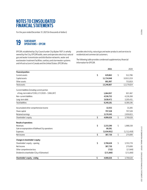For the year ended December 31, 2021 (in thousands of dollars)

# **SUBSIDIARY 19 OPERATIONS – EPCOR**

EPCOR, established by City Council under City Bylaw 11071, is wholly owned by the City. EPCOR builds, owns and operates electrical, natural gas and water transmission and distribution networks, water and wastewater treatment facilities, sanitary and stormwater systems and infrastructure in Canada and the United States. EPCOR also

provides electricity, natural gas and water products and services to residential and commercial customers.

The following table provides condensed supplementary financial information for EPCOR.

|                                                   | 2021            | 2020            |
|---------------------------------------------------|-----------------|-----------------|
| <b>Financial position:</b>                        |                 |                 |
| Current assets                                    | \$<br>629,862   | \$<br>512,786   |
| Capital assets                                    | 11,724,948      | 10,913,219      |
| Other assets                                      | 891.997         | 753,819         |
| Total assets                                      | 13,246,807      | 12,179,824      |
| Current liabilities (including current portion    |                 |                 |
| of long-term debt of \$391,172 (2020 - \$366,287) | 1,064,957       | 957,497         |
| Non-current liabilities                           | 4,536,752       | 4,226,268       |
| Long-term debt                                    | 3,638,472       | 3,205,431       |
| <b>Total liabilities</b>                          | 9,240,181       | 8,389,196       |
| Accumulated other comprehensive income            | 32,553          | 33,285          |
| Share capital                                     | 797,528         | 797,528         |
| Retained earnings                                 | 3,176,545       | 2,959,815       |
| Shareholder's equity                              | \$<br>4,006,626 | \$<br>3,790,628 |
| Results of operations:                            |                 |                 |
| Revenues                                          | \$<br>2,233,290 | \$<br>1,988,158 |
| Gain on expropriation of Bullhead City operations | 89,391          |                 |
| Expenses                                          | (1,934,951)     | (1,712,459)     |
| Net income                                        | \$<br>387,730   | \$<br>275,699   |
| Changes in shareholder's equity:                  |                 |                 |
| Shareholder's equity - opening                    | \$<br>3,790,628 | \$<br>3,703,778 |
| Net Income                                        | 387,730         | 275,699         |
| Other comprehensive loss                          | (732)           | (17, 849)       |
| Dividend to shareholder (City of Edmonton)        | (171,000)       | (171,000)       |
| Shareholder's equity - ending                     | \$<br>4,006,626 | \$<br>3,790,628 |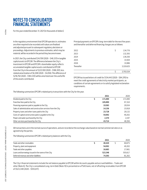For the year ended December 31, 2021 (in thousands of dollars)

In the regulatory environment that EPCOR operates in, estimates are often required to be recorded until values are finalized and adjusted pursuant to subsequent regulatory decisions or proceedings. Adjustments to previous estimates, which may be material, will be recorded in the period they become known.

In 2021, the City contributed \$34,709 (2020 - \$48,331) in tangible capital assets to EPCOR. The difference between the City's investment in EPCOR and EPCOR's shareholder equity reflects accumulated tangible capital assets contributed to EPCOR from the City in the amount of \$223,100 (2020 - \$188,391), less related amortization of \$6,308 (2020 - \$4,056). This difference of \$216,792 (2020 - \$184,335) will be amortized over the useful life of the assets contributed.

Principal payments on EPCOR's long-term debt for the next five years and thereafter and deferred financing charges are as follows:

| 2022       | S | 134,776   |
|------------|---|-----------|
| 2023       |   | 132,393   |
| 2024       |   | 139,250   |
| 2025       |   | 33,504    |
| 2026       |   | 33,986    |
| Thereafter |   | 3,319,625 |
|            |   |           |
|            | Ś | 3,793,534 |

EPCOR has issued letters of credit for \$134,443 (2020 - \$84,376) to meet the credit agreements of electricity market participants, as conditions of certain agreements or to satisfy legislated reclamation requirements.

The following summarizes EPCOR's related party transactions with the City for the year.

|                                                                 | 2021    | 2020    |
|-----------------------------------------------------------------|---------|---------|
| Dividend paid to the City                                       | 171.000 | 171,000 |
| Franchise fees paid to the City                                 | 105.890 | 97,310  |
| Financing expenses paid or payable to the City                  | 19,583  | 20,934  |
| Sales of administrative and construction services from the City | 14.156  | 15,918  |
| Property taxes and other taxes paid to the City                 | 23.728  | 20.132  |
| Costs of capital construction paid or payable to the City       | 54.092  | 40.202  |
| Power and water purchased by the City                           | 2.370   | 2.197   |
| Other services purchased by the City                            | 43.714  | 48.394  |

All transactions are in the normal course of operations, and are recorded at the exchange value based on normal commercial rates or as agreed to by the parties.

The following summarizes EPCOR's related party balances with the City.

|                                                     | 2021    | 2020    |
|-----------------------------------------------------|---------|---------|
| Trade and other receivables                         | 40.420  | 60,875  |
| Property, plant and equipment                       | 54.092  | 40,202  |
| Trade and other payables                            | 16.683  | 17,661  |
| Loans and borrowings issued in the name of the City | 523.348 | 555.617 |
| Deferred revenue and other liabilities              | 74.393  | 81,262  |

The City's financial statements include the net balance payable to EPCOR within Accounts payable and accrued liabilities - Trade and other (Note 6). The City's consolidated Long-term Debt (Note 10) is presented on a PSAS basis, net of offsetting receivables from EPCOR of \$523,348 (2020 - \$555,617).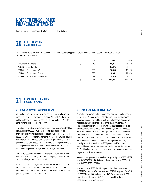For the year ended December 31, 2021 (in thousands of dollars)

# **UTILITY FRANCHISE 20 AGREEMENT FEES**

The following franchise fees are disclosed as required under the Supplementary Accounting Principles and Standards Regulation (AR 313/2000) of the MGA.

|                                        | <b>Budget</b> | 2021    | 2020    |
|----------------------------------------|---------------|---------|---------|
| ATCO Gas and Pipelines Ltd. - Gas      | 86,910        | 80.075  | 76.379  |
| <b>EPCOR Distribution Inc. - Power</b> | 67.375        | 67.375  | 66.017  |
| EPCOR Water Services Inc. - Water      | 15,604        | 16.590  | 15,476  |
| EPCOR Water Services Inc. - Drainage   | 9.995         | 10.351  | 11,570  |
| EPCOR Water Services Inc. - Wastewater | 8.083         | 8.630   | 7.678   |
|                                        | 187.967       | 183.021 | 177.120 |

# **PENSION AND LONG-TERM 21 DISABILITY PLANS**

## A. **LOCAL AUTHORITIES PENSION PLAN**

All employees of the City, with the exception of police officers, are members of the Local Authorities Pension Plan (LAPP), which is a public sector pension plan in Alberta registered under the Alberta Employment Pension Plans Act (EPPA).

The City is required to make current service contributions to the Plan of 9.39 per cent (2020 - 9.39 per cent) of pensionable payroll up to the yearly maximum pensionable earnings (YMPE) and 13.84 per cent (2020 - 13.84 per cent) thereafter. Employees of the City are required to make current service contributions of 8.39 per cent (2020 - 8.39 per cent) of pensionable salary up to YMPE and 12.84 per cent (2020 - 12.84 per cent) thereafter. Contributions for current service are recorded as expenses in the year in which they become due.

Total current service contributions by the City to the LAPP in 2021 were \$97,276 (2020 – \$97,177) and by the employees to the LAPP in 2021 were \$88,250 (2020 – \$88,248).

As of December 31, 2020, the LAPP reported the value of its asset of \$53,599,237 and a surplus for the overall plan as at of \$4,961,337. Information as at December 31, 2021 was not available at the time of preparing these financial statements.

## B. **SPECIAL FORCES PENSION PLAN**

Police officers employed by the City are participants in the multi-employer Special Forces Pension Plan (SFPP). The City is required to make current service contributions to the Plan of 12.87 per cent of pensionable payroll. In addition, past service contributions to the Plan of 0.75 per cent of pensionable payroll are required to eliminate an unfunded liability related to service prior to 1992, on or before December 31, 2036. Additional past service contributions of 0.93 per cent of pensionable payroll are required to eliminate an unfunded liability related to post-1991 service amortized over no more than 15 years. Participants of the SFPP are required to make current service contributions of 11.77 per cent of pensionable salary. As well, past service contributions of 0.75 per cent and 0.93 per cent of pensionable salary are required, consistent with those described for the City. Contributions for current and past service are recorded as expenses in the year in which they become due.

Total current and past service contributions by the City to the SFPP in 2021 were \$32,460 (2020 – \$31,636) and by the employees to the SFPP in 2021 were \$30,008 (2020 – \$29,244).

As at December 31, 2020, the SFPP reported the value of its assets at \$3,592,743 and a surplus for the overall plan of \$9,741 comprised of a deficit of \$177,989 for pre-1992 and a surplus of \$187,730 relating to post-1991. Information as at December 31, 2021 was not available at the time of preparing these financial statements.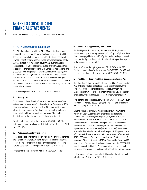For the year ended December 31, 2021 (in thousands of dollars)

## C. **CITY-SPONSORED PENSION PLANS**

The City, in conjunction with the City of Edmonton Investment Committee, administers Pension Fund and Long-term Disability Plan assets on behalf of third parties. Related trust assets not owned by the City have been excluded from the reporting entity. Assets consist of government, government guaranteed and corporate bonds valued at market quotations from Canadian and global investment dealers, along with Canadian, international and global common and preferred shares valued at the closing price on the stock exchange where listed. Other investments within the Pension Funds and Long-term Disability Plan include global infrastructure assets. The City's share of the FFSPP asset balance and the Fire Chief Plan net fund liability has been recognized in the financial statements.

The following summarizes plans sponsored by the City.

### **i. Annuity Plan**

The multi-employer Annuity Fund provided lifetime benefits to retired members and beneficiaries only. As of December 4, 2014 there are no longer any beneficiaries of this plan and the fund is closed to new members. The plan is being wound up and surplus funds attributable are resonably determined. The fund is being held in trust by the City until the assets are distributed.

Total benefits paid during the year were \$0 (2020 – \$0). The total suprlus funds available for distribution as of December 2021 were \$15,025.

### **ii. Police Supplementary Pension Plan**

The Police Supplementary Pension Plan (PSPP) provides benefits supplementary to the LAPP for 9 pensioners and beneficiaries. There are no active police officers enrolled in the PSPP and no further contributions are expected to be made to the Fund.

Total benefits paid during the year were \$29 (2020 – \$33).

### **iii. Fire Fighters' Supplementary Pension Plan**

The Fire Fighters' Supplementary Pension Plan (FFSPP) is a defined benefit pension plan covering members of the City Fire Fighters' Union. Pensions are payable to retired fire fighters and surviving spouses of deceased fire fighters. This pension is reduced by the pension payable to the member under the LAPP.

Total benefits paid during the year were  $$9,919$  (2020 -  $$10,393$ ). Employer contributions for the year were \$4,041 (2020 – \$4,002) and employee contributions for the year were \$3,310 (2020 – \$3,459).

### **iv. Fire Chief and Deputy Fire Chiefs' Supplementary Pension Plan**

The City of Edmonton Fire Chief and Deputy Fire Chiefs' Supplementary Pension Plan (Fire Chief) is a defined benefit pension plan covering employees in the positions of fire chief and deputy fire chiefs. Contributions are made by plan members and by the City. The pension is reduced by the pension payable to the member under the LAPP.

Total benefits paid during the year were \$231 (2020 – \$245). Employer contributions were \$71 (2020 – \$64) and employee contributions for the year were \$28 (2020 – \$21).

Actuarial valuations for Annuity, Police Supplementary, Fire Chief and Deputy Fire Chiefs' Supplementary Pension Plans and an actuarial extrapolation for the Fire Fighters' Supplementary Pension Plan were completed by Aon Hewitt as at December 31, 2021. Each 2021 actuarial valuation and extrapolation were based upon a number of assumptions about future events, which reflect management's best estimates. The expected inflation rate is 2.0 per cent (2020 – 2.0 per cent). The discount rate used to determine the accrued benefit obligation is 5.00 per cent (2020 – 5.25 per cent). The expected rate of return on plan assets is 5.00 per cent (2020 – 5.25 per cent). The expected salary increase is 2.00 per cent for 2 years, and 2.75 per cent thereafter (2020 - 0.75 per cent for 2 years, and 2.0 per cent thereafter), plus a merit and promotion increase in the FFSPP (which varies by service). The Fire Chief Plan assumes a 0.5 per cent merit and promotion increase per annum for those with greater than 5 years of service.

Each pension fund's assets are valued at fair value. The fair value actual rate of return is 15.0 per cent (2020 - 11.1 per cent).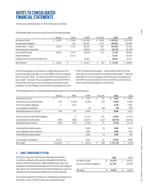For the year ended December 31, 2021 (in thousands of dollars)

The following table sets out the results for each of the pension plans:

|                                           | Annuity | <b>PSPP</b> | <b>FFSPP</b> | Fire Chief | 2021        | 2020        |
|-------------------------------------------|---------|-------------|--------------|------------|-------------|-------------|
| Fair value of assets                      | 15,025  | 17.658      | \$313,390    | 4.939      | \$351,012   | \$ 312,434  |
| Accrued benefit obligation                |         | 141         | 245.287      | 4.574      | 250.002     | 224,986     |
| Funded status - surplus                   | 15.025  | 17.517      | 68.103       | 365        | 101.010     | 87.448      |
| Unamortized net actuarial gain            |         |             | (28,054)     | (222)      | (28, 276)   | (20, 798)   |
| Accrued benefit asset                     | 15.025  | 17.517      | 40.049       | 143        | 72.734      | 66,650      |
| Valuation allowance                       |         | 17.517      |              |            | 17,517      | 30.214      |
| Employee portion of accrued benefit asset |         |             | 18.022       |            | 18.022      | 16,374      |
| Net fund asset                            | 15.025  |             | 22.027       | 143        | 37.195<br>S | 20.062<br>ς |

The net actuarial gain is amortized on a straight line basis over the expected average remaining service life (EARSL) of the Fire Fighters' plan of 15.7 years (2020 - 16.3 years) and of the Fire Chief plan of 3.0 years (2020 - 3.0 years). The accrued benefit asset for the FFSPP is shared 55 per cent by the City as the employer and 45 per cent by employees. The net employer share of the fund asset balance for the

FFSPP is included in Receivables - Trade and other (Note 3); the net fund asset for the Fire Chief Plan is included in Receivables - Trade and other (Note 3) is the net employer share of the fund asset balance for the FFSPP, the net fund asset for the Fire Chief Plan, and the net City share of the fund asset balance for the Annuity.

The following table sets out the benefit plan related expense for each of the pension plans:

|                                             | Annuity    | <b>PSPP</b> | <b>FFSPP</b>  | Fire Chief | 2021         | 2020       |
|---------------------------------------------|------------|-------------|---------------|------------|--------------|------------|
| Current service cost                        | \$         | \$          | Ś<br>7.767    | S<br>64    | Ś<br>7.831   | Ś<br>6.764 |
| Amortization of actuarial loss (gain)       | 784        | (1,526)     | (1,294)       | (31)       | (2,067)      | (1,801)    |
| Increase in valuation allowance             | 5          | 2,323       |               |            | 2,328        | 1,456      |
| Less: employee contributions                |            |             | (4)           | (28)       | (32)         | (205)      |
| Benefit plan expense for the year           | 789        | 797         | 6,469         | 5          | 8,060        | 6,214      |
|                                             |            |             |               |            |              |            |
| Interest cost on accrued benefit obligation |            | 8           | 11.734        | 214        | 11,956       | 11,716     |
| Expected return on plan assets              | (789)      | (805)       | (14,517)      | (221)      | (16, 332)    | (16, 451)  |
| Benefit plan interest income                | (789)      | (797)       | (2,783)       | (7)        | (4,376)      | (4,735)    |
| Total benefit plan related expense          |            |             | 3,686         | (2)        | 3.684        | 1,479      |
| Less: employee portion of expense           |            |             | 1,658         |            | 1,658        | 841        |
| Net benefit plan related expense            |            |             | 2,028         | (2)        | 2,026        | 638        |
| Less: employer contributions                | 15,025     |             | 4.041         | 93         | 19,159       | 4,088      |
| Net Change                                  | \$(15,025) | \$          | \$<br>(2,013) | Ś.<br>(95) | \$ (17, 133) | (3, 450)   |

## D*.*  **LONG-TERM DISABILITY PLAN**

The City, in conjunction with the City of Edmonton Investment Committee, administers the Long-term Disability Plan (the Plan) assets on behalf of third parties, made available to permanent City employees to provide protection against loss of income. The employee pays 100 per cent of the premium for the Plan. Related trust assets not owned by the City have been excluded from the reporting entity.

An actuarial valuation of the Plan was completed by Aon Hewitt as at December 31, 2021. The Plan's assets are valued at fair value.

|                                  | 2021    | 2020    |
|----------------------------------|---------|---------|
| Fair value of assets             | 171.676 | 159,153 |
| Less: Accrued benefit obligation | 127,701 | 114.609 |
| Net assets                       | 43.975  | 44.544  |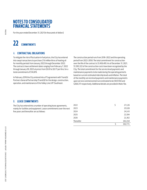For the year ended December 31, 2021 (in thousands of dollars)

# **22 COMMITMENTS**

## A. **CONTRACTUAL OBLIGATIONS**

To mitigate the risk of fluctuation in fuel prices, the City has entered into swap transactions to purchase 21.6 million litres of heating oil for monthly periods from January 2022 through December 2022. The contracts have settlement dates ranging from February 7, 2022 through January 09, 2023 at prices from \$0.61 to \$0.77 per litre, for a total commitment of \$14,878.

In February 2016 the City entered into a P3 agreement with TransEd Partners General Partnership (TransEd) for the design, construction, operation, and maintenance of the Valley Line LRT Southeast.

The construction period runs from 2016-2022 and the operating period from 2022-2050. The total commitment for construction over the life of the contract is \$1,456,495. As of December 31, 2021, \$1,395,322 of the construction costs have been recognized by the City. The total commitment for the service level payments and maintenance payments to be made during the operating period is based on current estimated ridership levels and inflation. The total of the monthly service level payments and maintenance payments upon service commencement are estimated to be \$937,942 and \$268,317 respectively. Additional details are provided in Note 10e.

## B. **LEASE COMMITMENTS**

The City has entered into a number of operating lease agreements, mainly for facilities and equipment. Lease commitments over the next five years and thereafter are as follows:

| 2022       | S | 27,126  |
|------------|---|---------|
| 2023       |   | 25,528  |
| 2024       |   | 24,143  |
| 2025       |   | 22,394  |
| 2026       |   | 21,362  |
| Thereafter |   | 182,218 |
|            |   | 302,771 |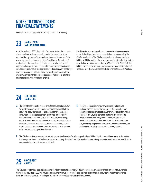For the year ended December 31, 2021 (in thousands of dollars)

# **LIABILITY FOR 23 CONTAMINATED SITES**

As of December 31, 2021, the liability for contaminated sites includes sites associated with former and current City operations, sites acquired through tax forfeiture and purchase, and former unofficial waste disposal sites from early in the City's history. The nature of contamination includes heavy metals, salts, biosolids and other organic and inorganic contaminants. The sources of contamination include underground fuel storage tanks, fuel handling, vehicle storage and maintenance, metal manufacturing, stockyards, incinerators, wastewater treatment plants and lagoons as well as fill of unknown origin deposited in unauthorized landfills.

Liability estimates are based on environmental site assessments or are derived by extrapolating remediation costs incurred by the City for similar sites. The City has recognized a net decrease in the liability of \$442 over the prior year, representing a total liability for the remediation of contaminated sites of \$20,442 (2020 - \$20,884). The liability is reported in Accounts payable and accrued liabilities (Note 6, Trade and other) in the Consolidated Statement of Financial Position.

# **CONTINGENT 24 LIABILITIES**

- A. The City is the defendant in various lawsuits as at December 31, 2021. Where the occurrence of future events is considered likely to result in a loss with respect to an existing condition, and the amount of loss can be reasonably estimated, amounts have been included within accrued liabilities. Where the resulting losses, if any, cannot be determined or the occurrence of future events is unknown, amounts have not been recorded, and the City's Administration believes there will be no material adverse effect on the financial position of the City.
- B. The City continues to review environmental objectives and liabilities for its activities and properties as well as any potential reclamation obligations. There may be contaminated sites that the City has identified that have the potential to result in remediation obligations. A liability has not been recorded for these sites because either the likelihood of the City becoming responsible for the site is not determinable, the amount of the liability cannot be estimated, or both.

C. The City has certain agreements in place to guarantee financing for other organizations. While a liability has not been recorded in relation to these guarantees, as it has been assessed as unlikely that the City will be required to pay out any amounts, funds have been restricted in accumulated surplus in the event of default.

# 25 **CONTINGENT**

The City has outstanding legal claims against third parties as at December 31, 2021 for which the probability of settlement in favour of the City is likely, resulting in \$22,140 in future assets. The eventual recovery of legal claims is subject to risk and uncertainties that may arise from the settlement process. Contingent assets are not recorded in the financial statements.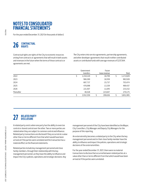For the year ended December 31, 2021 (in thousands of dollars)

# 26 **CONTRACTUAL**

Contractual rights are rights of the City to economic resources arising from contracts or agreements that will result in both assets and revenues in the future when the terms of those contracts or agreements are met.

The City enters into service agreements, partnership agreements, and other developer agreements that result in either contributed assets or contributed funds with average revenues of \$237,564.

|            | Government<br>transfers | Future<br>lease revenue | Total     |
|------------|-------------------------|-------------------------|-----------|
| 2022       | 1,154,120               | 18,709                  | 1,172,829 |
| 2023       | 966,369                 | 16,559                  | 982,928   |
| 2024       | 687,737                 | 15,737                  | 703,474   |
| 2025       | 476,098                 | 13,339                  | 489,437   |
| 2026       | 221,507                 | 11,645                  | 233,152   |
| Thereafter | 46,528                  | 223,647                 | 270,175   |
|            | 3,552,359               | 299,636                 | 3,851,995 |

# **RELATED PARTY 27 DISCLOSURE**

A related party exists when one party has the ability to exercise control or shared control over the other. Two or more parties are related when they are subject to common control and influence. Related party transactions are disclosed if they occurred at a value other than or terms different from that which would have been arrived at if the parties were unrelated and the transaction has a material effect on the financial statements.

Related parties include key management personnel and close family members, through their relationship with the key management personnel, as they have the ability to influence and impact the City's policies, operations and strategic decisions. Key management personnel of the City have been identified as the Mayor, City Councillors, City Manager and Deputy City Managers for the purpose of this reporting.

An external entity becomes a related party to the City when the key management personnel and/or their close family member have the ability to influence and impact the policies, operations and strategic decisions of the external entities.

For the year ended December 31, 2021, there were no material transactions to disclose that occurred between related parties at a value other than or terms different from that which would have been arrived at if the parties were unrelated.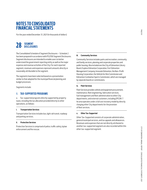For the year ended December 31, 2021 (in thousands of dollars)

# **SEGMENT 28 DISCLOSURES**

The Consolidated Schedule of Segment Disclosures – Schedule 2 has been prepared in accordance with PS2700 Segment Disclosures. Segment disclosures are intended to enable users to better understand the government reporting entity as well as the major expense and revenue activities of the City. For each reported segment, revenues and expenses represent amounts directly or reasonably attributable to the segment.

The segments have been selected based on a presentation similar to that adopted for the municipal financial planning and budget processes.

Segments include:

## A. **TAX-SUPPORTED PROGRAMS**

a. Tax-supported programs directly supported by property taxes, including the tax allocation provided directly to other operations, as follows:

#### **i. Transportation Services**

Transportation Services includes bus, light rail transit, roadway and parking services.

#### **ii. Protective Services**

Protective Services is comprised of police, traffic safety, bylaw enforcement and fire rescue.

#### **iii. Community Services**

Community Services includes parks and recreation, community and family services, planning and corporate properties and public housing. Also included are the City of Edmonton Library Board, Explore Edmonton Corporation, Fort Edmonton Management Company, Innovate Edmonton, the Non-Profit Housing Corporation, the Vehicle for Hire Commission and Edmonton Combative Sports Commission, which are managed by separate boards or commissions.

#### **iv. Fleet Services**

Fleet Services provides vehicle and equipment procurement, maintenance, fleet engineering, fabrication services, fuel management and fleet administration to other City departments, and external customers, including EPCOR. T he area operates under a full cost recovery model by directly charging other City departments for the provision of fleet services.

#### **v. Other Tax-Supported**

Other Tax-Supported consists of corporate administration, general municipal services, and tax appeals and allowances. Revenues and expenses that are not directly attributed to another tax-supported segment are also recorded within this other tax-supported segment.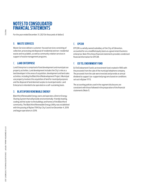For the year ended December 31, 2021 (in thousands of dollars)

## B. **WASTE SERVICES**

Waste Services delivers customer-focused services consisting of collection, processing and disposal of residential and non-residential waste and recyclables, as well as community relation services in support of waste management programs.

## C. **LAND ENTERPRISE**

Land Enterprise is comprised of land development and municipal use property activities. Land development includes the City's role as a land developer in the areas of acquisition, development and land sales activities, including the Blatchford Redevelopment Project. Municipal use property involves the acquisition of land for municipal purposes and the disposal of land deemed surplus to municipal needs. Land Enterprise is intended to be operated on a self-sustaining basis.

## D. **BLATCHFORD RENEWABLE ENERGY**

Blatchford Renewable Energy owns and operates a District Energy Sharing System that will provide environmentally-friendly heating, cooling and hot water to the buildings and homes of the Blatchford community. The Blatchford Renewable Energy Utility was established with the passing of Bylaw 17943 by City Council on December 4, 2018 and began operations in 2019.

## E. **EPCOR**

EPCOR is a wholly owned subsidiary of the City of Edmonton, accounted for on a modified equity basis as a government business enterprise. Note 19 to these financial statements provides condensed financial information for EPCOR.

## F. **ED TEL ENDOWMENT FUND**

Ed Tel Endowment Fund is an investment fund created in 1995 with the proceeds from the sale of the municipal telephone company. The proceeds from the sale were invested and provide an annual dividend to support tax-supported programs based on conditions set out in Bylaw 11713.

The accounting policies used in the segment disclosures are consistent with those followed in the preparation of the financial statements (Note 1).